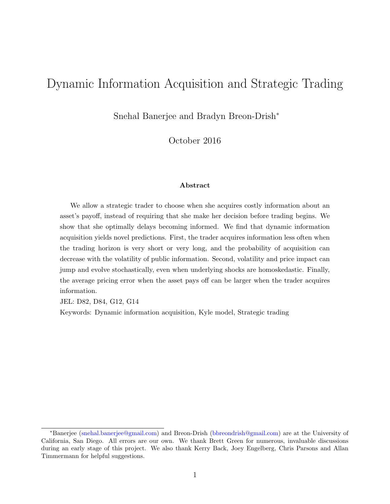# Dynamic Information Acquisition and Strategic Trading

Snehal Banerjee and Bradyn Breon-Drish<sup>∗</sup>

October 2016

#### Abstract

We allow a strategic trader to choose when she acquires costly information about an asset's payoff, instead of requiring that she make her decision before trading begins. We show that she optimally delays becoming informed. We find that dynamic information acquisition yields novel predictions. First, the trader acquires information less often when the trading horizon is very short or very long, and the probability of acquisition can decrease with the volatility of public information. Second, volatility and price impact can jump and evolve stochastically, even when underlying shocks are homoskedastic. Finally, the average pricing error when the asset pays off can be larger when the trader acquires information.

JEL: D82, D84, G12, G14

Keywords: Dynamic information acquisition, Kyle model, Strategic trading

<sup>∗</sup>Banerjee [\(snehal.banerjee@gmail.com\)](mailto:snehal.banerjee@gmail.com) and Breon-Drish [\(bbreondrish@gmail.com\)](mailto:bbreondrish@gmail.com) are at the University of California, San Diego. All errors are our own. We thank Brett Green for numerous, invaluable discussions during an early stage of this project. We also thank Kerry Back, Joey Engelberg, Chris Parsons and Allan Timmermann for helpful suggestions.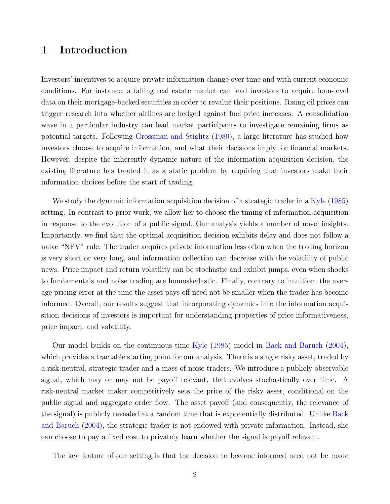# 1 Introduction

Investors' incentives to acquire private information change over time and with current economic conditions. For instance, a falling real estate market can lead investors to acquire loan-level data on their mortgage-backed securities in order to revalue their positions. Rising oil prices can trigger research into whether airlines are hedged against fuel price increases. A consolidation wave in a particular industry can lead market participants to investigate remaining firms as potential targets. Following [Grossman and Stiglitz](#page-16-0) [\(1980\)](#page-16-0), a large literature has studied how investors choose to acquire information, and what their decisions imply for financial markets. However, despite the inherently dynamic nature of the information acquisition decision, the existing literature has treated it as a static problem by requiring that investors make their information choices before the start of trading.

We study the dynamic information acquisition decision of a strategic trader in a [Kyle](#page-16-1) [\(1985\)](#page-16-1) setting. In contrast to prior work, we allow her to choose the timing of information acquisition in response to the evolution of a public signal. Our analysis yields a number of novel insights. Importantly, we find that the optimal acquisition decision exhibits delay and does not follow a naive "NPV" rule. The trader acquires private information less often when the trading horizon is very short or very long, and information collection can decrease with the volatility of public news. Price impact and return volatility can be stochastic and exhibit jumps, even when shocks to fundamentals and noise trading are homoskedastic. Finally, contrary to intuition, the average pricing error at the time the asset pays off need not be smaller when the trader has become informed. Overall, our results suggest that incorporating dynamics into the information acquisition decisions of investors is important for understanding properties of price informativeness, price impact, and volatility.

Our model builds on the continuous time [Kyle](#page-16-1) [\(1985\)](#page-16-1) model in [Back and Baruch](#page-16-2) [\(2004\)](#page-16-2), which provides a tractable starting point for our analysis. There is a single risky asset, traded by a risk-neutral, strategic trader and a mass of noise traders. We introduce a publicly observable signal, which may or may not be payoff relevant, that evolves stochastically over time. A risk-neutral market maker competitively sets the price of the risky asset, conditional on the public signal and aggregate order flow. The asset payoff (and consequently, the relevance of the signal) is publicly revealed at a random time that is exponentially distributed. Unlike [Back](#page-16-2) [and Baruch](#page-16-2) [\(2004\)](#page-16-2), the strategic trader is not endowed with private information. Instead, she can choose to pay a fixed cost to privately learn whether the signal is payoff relevant.

The key feature of our setting is that the decision to become informed need not be made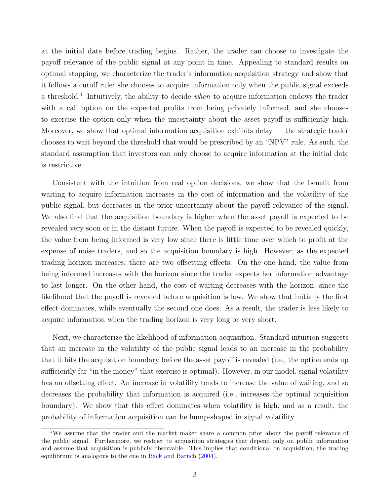at the initial date before trading begins. Rather, the trader can choose to investigate the payoff relevance of the public signal at any point in time. Appealing to standard results on optimal stopping, we characterize the trader's information acquisition strategy and show that it follows a cutoff rule: she chooses to acquire information only when the public signal exceeds a threshold.<sup>[1](#page-2-0)</sup> Intuitively, the ability to decide *when* to acquire information endows the trader with a call option on the expected profits from being privately informed, and she chooses to exercise the option only when the uncertainty about the asset payoff is sufficiently high. Moreover, we show that optimal information acquisition exhibits delay — the strategic trader chooses to wait beyond the threshold that would be prescribed by an "NPV" rule. As such, the standard assumption that investors can only choose to acquire information at the initial date is restrictive.

Consistent with the intuition from real option decisions, we show that the benefit from waiting to acquire information increases in the cost of information and the volatility of the public signal, but decreases in the prior uncertainty about the payoff relevance of the signal. We also find that the acquisition boundary is higher when the asset payoff is expected to be revealed very soon or in the distant future. When the payoff is expected to be revealed quickly, the value from being informed is very low since there is little time over which to profit at the expense of noise traders, and so the acquisition boundary is high. However, as the expected trading horizon increases, there are two offsetting effects. On the one hand, the value from being informed increases with the horizon since the trader expects her information advantage to last longer. On the other hand, the cost of waiting decreases with the horizon, since the likelihood that the payoff is revealed before acquisition is low. We show that initially the first effect dominates, while eventually the second one does. As a result, the trader is less likely to acquire information when the trading horizon is very long or very short.

Next, we characterize the likelihood of information acquisition. Standard intuition suggests that an increase in the volatility of the public signal leads to an increase in the probability that it hits the acquisition boundary before the asset payoff is revealed (i.e., the option ends up sufficiently far "in the money" that exercise is optimal). However, in our model, signal volatility has an offsetting effect. An increase in volatility tends to increase the value of waiting, and so decreases the probability that information is acquired (i.e., increases the optimal acquisition boundary). We show that this effect dominates when volatility is high, and as a result, the probability of information acquisition can be hump-shaped in signal volatility.

<span id="page-2-0"></span><sup>&</sup>lt;sup>1</sup>We assume that the trader and the market maker share a common prior about the payoff relevance of the public signal. Furthermore, we restrict to acquisition strategies that depend only on public information and assume that acquisition is publicly observable. This implies that conditional on acquisition, the trading equilibrium is analogous to the one in [Back and Baruch](#page-16-2) [\(2004\)](#page-16-2).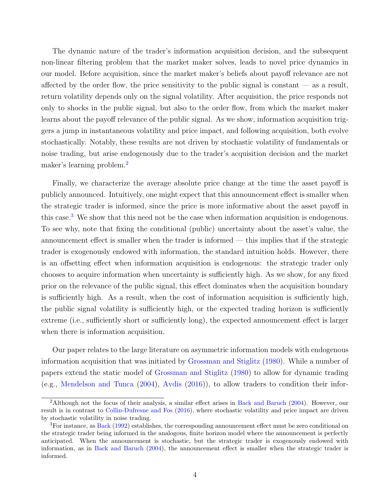The dynamic nature of the trader's information acquisition decision, and the subsequent non-linear filtering problem that the market maker solves, leads to novel price dynamics in our model. Before acquisition, since the market maker's beliefs about payoff relevance are not affected by the order flow, the price sensitivity to the public signal is constant  $\sim$  as a result, return volatility depends only on the signal volatility. After acquisition, the price responds not only to shocks in the public signal, but also to the order flow, from which the market maker learns about the payoff relevance of the public signal. As we show, information acquisition triggers a jump in instantaneous volatility and price impact, and following acquisition, both evolve stochastically. Notably, these results are not driven by stochastic volatility of fundamentals or noise trading, but arise endogenously due to the trader's acquisition decision and the market maker's learning problem.[2](#page-3-0)

Finally, we characterize the average absolute price change at the time the asset payoff is publicly announced. Intuitively, one might expect that this announcement effect is smaller when the strategic trader is informed, since the price is more informative about the asset payoff in this case.<sup>[3](#page-3-1)</sup> We show that this need not be the case when information acquisition is endogenous. To see why, note that fixing the conditional (public) uncertainty about the asset's value, the announcement effect is smaller when the trader is informed — this implies that if the strategic trader is exogenously endowed with information, the standard intuition holds. However, there is an offsetting effect when information acquisition is endogenous: the strategic trader only chooses to acquire information when uncertainty is sufficiently high. As we show, for any fixed prior on the relevance of the public signal, this effect dominates when the acquisition boundary is sufficiently high. As a result, when the cost of information acquisition is sufficiently high, the public signal volatility is sufficiently high, or the expected trading horizon is sufficiently extreme (i.e., sufficiently short or sufficiently long), the expected announcement effect is larger when there is information acquisition.

Our paper relates to the large literature on asymmetric information models with endogenous information acquisition that was initiated by [Grossman and Stiglitz](#page-16-0) [\(1980\)](#page-16-0). While a number of papers extend the static model of [Grossman and Stiglitz](#page-16-0) [\(1980\)](#page-16-0) to allow for dynamic trading (e.g., [Mendelson and Tunca](#page-17-0) [\(2004\)](#page-17-0), [Avdis](#page-16-3) [\(2016\)](#page-16-3)), to allow traders to condition their infor-

<span id="page-3-0"></span><sup>2</sup>Although not the focus of their analysis, a similar effect arises in [Back and Baruch](#page-16-2) [\(2004\)](#page-16-2). However, our result is in contrast to [Collin-Dufresne and Fos](#page-16-4) [\(2016\)](#page-16-4), where stochastic volatility and price impact are driven by stochastic volatility in noise trading.

<span id="page-3-1"></span><sup>&</sup>lt;sup>3</sup>For instance, as [Back](#page-16-5) [\(1992\)](#page-16-5) establishes, the corresponding announcement effect must be zero conditional on the strategic trader being informed in the analogous, finite horizon model where the announcement is perfectly anticipated. When the announcement is stochastic, but the strategic trader is exogenously endowed with information, as in [Back and Baruch](#page-16-2) [\(2004\)](#page-16-2), the announcement effect is smaller when the strategic trader is informed.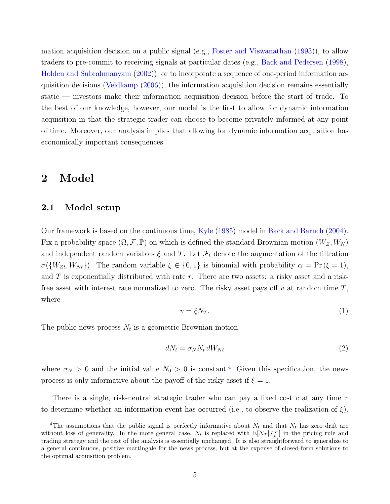mation acquisition decision on a public signal (e.g., [Foster and Viswanathan](#page-16-6) [\(1993\)](#page-16-6)), to allow traders to pre-commit to receiving signals at particular dates (e.g., [Back and Pedersen](#page-16-7) [\(1998\)](#page-16-7), [Holden and Subrahmanyam](#page-16-8) [\(2002\)](#page-16-8)), or to incorporate a sequence of one-period information acquisition decisions [\(Veldkamp](#page-17-1) [\(2006\)](#page-17-1)), the information acquisition decision remains essentially static — investors make their information acquisition decision before the start of trade. To the best of our knowledge, however, our model is the first to allow for dynamic information acquisition in that the strategic trader can choose to become privately informed at any point of time. Moreover, our analysis implies that allowing for dynamic information acquisition has economically important consequences.

### 2 Model

### 2.1 Model setup

Our framework is based on the continuous time, [Kyle](#page-16-1) [\(1985\)](#page-16-1) model in [Back and Baruch](#page-16-2) [\(2004\)](#page-16-2). Fix a probability space  $(\Omega, \mathcal{F}, \mathbb{P})$  on which is defined the standard Brownian motion  $(W_Z, W_N)$ and independent random variables  $\xi$  and T. Let  $\mathcal{F}_t$  denote the augmentation of the filtration  $\sigma({W_{Zt}, W_{Nt}})$ . The random variable  $\xi \in \{0, 1\}$  is binomial with probability  $\alpha = \Pr(\xi = 1)$ , and  $T$  is exponentially distributed with rate  $r$ . There are two assets: a risky asset and a riskfree asset with interest rate normalized to zero. The risky asset pays off v at random time  $T$ , where

$$
v = \xi N_T. \tag{1}
$$

The public news process  $N_t$  is a geometric Brownian motion

$$
dN_t = \sigma_N N_t \, dW_{Nt} \tag{2}
$$

where  $\sigma_N > 0$  and the initial value  $N_0 > 0$  is constant.<sup>[4](#page-4-0)</sup> Given this specification, the news process is only informative about the payoff of the risky asset if  $\xi = 1$ .

There is a single, risk-neutral strategic trader who can pay a fixed cost c at any time  $\tau$ to determine whether an information event has occurred (i.e., to observe the realization of ξ).

<span id="page-4-0"></span><sup>&</sup>lt;sup>4</sup>The assumptions that the public signal is perfectly informative about  $N_t$  and that  $N_t$  has zero drift are without loss of generality. In the more general case,  $N_t$  is replaced with  $\mathbb{E}[N_T|\mathcal{F}_t^P]$  in the pricing rule and trading strategy and the rest of the analysis is essentially unchanged. It is also straightforward to generalize to a general continuous, positive martingale for the news process, but at the expense of closed-form solutions to the optimal acquisition problem.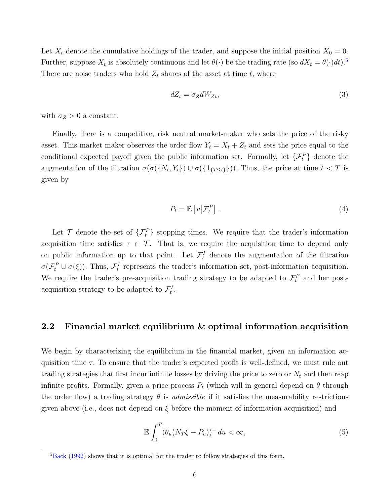Let  $X_t$  denote the cumulative holdings of the trader, and suppose the initial position  $X_0 = 0$ . Further, suppose  $X_t$  is absolutely continuous and let  $\theta(\cdot)$  be the trading rate (so  $dX_t = \theta(\cdot)dt$ ).<sup>[5](#page-5-0)</sup> There are noise traders who hold  $Z_t$  shares of the asset at time t, where

$$
dZ_t = \sigma_Z dW_{Zt},\tag{3}
$$

with  $\sigma_Z > 0$  a constant.

Finally, there is a competitive, risk neutral market-maker who sets the price of the risky asset. This market maker observes the order flow  $Y_t = X_t + Z_t$  and sets the price equal to the conditional expected payoff given the public information set. Formally, let  $\{\mathcal{F}_t^P\}$  denote the augmentation of the filtration  $\sigma(\sigma(\{N_t, Y_t\}) \cup \sigma(\{1_{\{T \le t\}}\}))$ . Thus, the price at time  $t < T$  is given by

<span id="page-5-1"></span>
$$
P_t = \mathbb{E}\left[v\big|\mathcal{F}_t^P\right].\tag{4}
$$

Let  $\mathcal T$  denote the set of  $\{\mathcal F^P_t\}$  stopping times. We require that the trader's information acquisition time satisfies  $\tau \in \mathcal{T}$ . That is, we require the acquisition time to depend only on public information up to that point. Let  $\mathcal{F}_t^I$  denote the augmentation of the filtration  $\sigma(\mathcal{F}_t^P \cup \sigma(\xi))$ . Thus,  $\mathcal{F}_t^I$  represents the trader's information set, post-information acquisition. We require the trader's pre-acquisition trading strategy to be adapted to  $\mathcal{F}^P_t$  and her postacquisition strategy to be adapted to  $\mathcal{F}_t^I$ .

### 2.2 Financial market equilibrium & optimal information acquisition

We begin by characterizing the equilibrium in the financial market, given an information acquisition time  $\tau$ . To ensure that the trader's expected profit is well-defined, we must rule out trading strategies that first incur infinite losses by driving the price to zero or  $N_t$  and then reap infinite profits. Formally, given a price process  $P_t$  (which will in general depend on  $\theta$  through the order flow) a trading strategy  $\theta$  is *admissible* if it satisfies the measurability restrictions given above (i.e., does not depend on  $\xi$  before the moment of information acquisition) and

$$
\mathbb{E}\int_0^T (\theta_u(N_T\xi - P_u))^-\,du < \infty,\tag{5}
$$

<span id="page-5-0"></span> ${}^{5}$ [Back](#page-16-5) [\(1992\)](#page-16-5) shows that it is optimal for the trader to follow strategies of this form.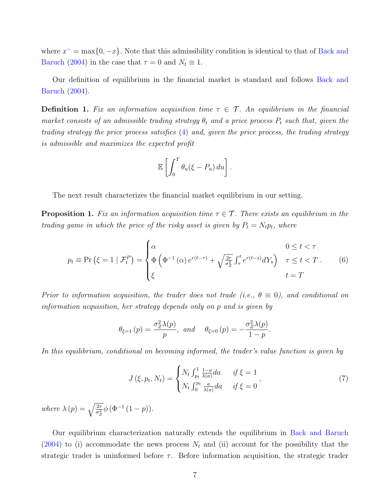where  $x^- = \max\{0, -x\}$ . Note that this admissibility condition is identical to that of [Back and](#page-16-2) [Baruch](#page-16-2) [\(2004\)](#page-16-2) in the case that  $\tau = 0$  and  $N_t \equiv 1$ .

Our definition of equilibrium in the financial market is standard and follows [Back and](#page-16-2) [Baruch](#page-16-2) [\(2004\)](#page-16-2).

**Definition 1.** Fix an information acquisition time  $\tau \in \mathcal{T}$ . An equilibrium in the financial market consists of an admissible trading strategy  $\theta_t$  and a price process  $P_t$  such that, given the trading strategy the price process satisfies [\(4\)](#page-5-1) and, given the price process, the trading strategy is admissible and maximizes the expected profit

<span id="page-6-1"></span>
$$
\mathbb{E}\left[\int_0^T \theta_u(\xi - P_u) \, du\right].
$$

The next result characterizes the financial market equilibrium in our setting.

<span id="page-6-0"></span>**Proposition 1.** Fix an information acquisition time  $\tau \in \mathcal{T}$ . There exists an equilibrium in the trading game in which the price of the risky asset is given by  $P_t = N_t p_t$ , where

$$
p_t \equiv \Pr\left(\xi = 1 \mid \mathcal{F}_t^P\right) = \begin{cases} \alpha & 0 \le t < \tau \\ \Phi\left(\Phi^{-1}\left(\alpha\right)e^{r(t-\tau)} + \sqrt{\frac{2r}{\sigma_z^2}} \int_\tau^t e^{r(t-s)}dY_s\right) & \tau \le t < T \\ \xi & t = T \end{cases} \tag{6}
$$

Prior to information acquisition, the trader does not trade (i.e.,  $\theta \equiv 0$ ), and conditional on information acquisition, her strategy depends only on p and is given by

$$
\theta_{\xi=1}(p) = \frac{\sigma_Z^2 \lambda(p)}{p}
$$
, and  $\theta_{\xi=0}(p) = -\frac{\sigma_Z^2 \lambda(p)}{1-p}$ .

In this equilibrium, conditional on becoming informed, the trader's value function is given by

$$
J(\xi, p_t, N_t) = \begin{cases} N_t \int_{p_t}^{1} \frac{1 - a}{\lambda(a)} da & \text{if } \xi = 1 \\ N_t \int_0^{p_t} \frac{a}{\lambda(a)} da & \text{if } \xi = 0 \end{cases},
$$
 (7)

where  $\lambda(p) = \sqrt{\frac{2r}{\sigma_Z^2}} \phi(\Phi^{-1}(1-p)).$ 

Our equilibrium characterization naturally extends the equilibrium in [Back and Baruch](#page-16-2)  $(2004)$  to (i) accommodate the news process  $N_t$  and (ii) account for the possibility that the strategic trader is uninformed before  $\tau$ . Before information acquisition, the strategic trader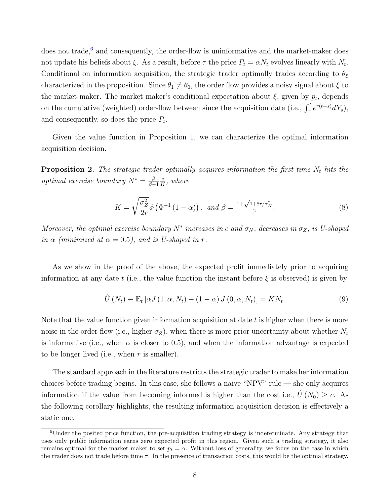does not trade, $6$  and consequently, the order-flow is uninformative and the market-maker does not update his beliefs about  $\xi$ . As a result, before  $\tau$  the price  $P_t = \alpha N_t$  evolves linearly with  $N_t$ . Conditional on information acquisition, the strategic trader optimally trades according to  $\theta_{\xi}$ characterized in the proposition. Since  $\theta_1 \neq \theta_0$ , the order flow provides a noisy signal about  $\xi$  to the market maker. The market maker's conditional expectation about  $\xi$ , given by  $p_t$ , depends on the cumulative (weighted) order-flow between since the acquisition date (i.e.,  $\int_{\tau}^{t} e^{r(t-s)} dY_s$ ), and consequently, so does the price  $P_t$ .

Given the value function in Proposition [1,](#page-6-0) we can characterize the optimal information acquisition decision.

<span id="page-7-1"></span>**Proposition 2.** The strategic trader optimally acquires information the first time  $N_t$  hits the *optimal exercise boundary*  $N^* = \frac{\beta}{\beta}$  $\beta-1$ c  $\frac{c}{K}$ , where

$$
K = \sqrt{\frac{\sigma_Z^2}{2r}} \phi \left( \Phi^{-1} \left( 1 - \alpha \right) \right), \text{ and } \beta = \frac{1 + \sqrt{1 + 8r/\sigma_N^2}}{2}.
$$
 (8)

Moreover, the optimal exercise boundary  $N^*$  increases in c and  $\sigma_N$ , decreases in  $\sigma_Z$ , is U-shaped in  $\alpha$  (minimized at  $\alpha = 0.5$ ), and is U-shaped in r.

As we show in the proof of the above, the expected profit immediately prior to acquiring information at any date t (i.e., the value function the instant before  $\xi$  is observed) is given by

$$
\hat{U}(N_t) \equiv \mathbb{E}_t \left[ \alpha J(1, \alpha, N_t) + (1 - \alpha) J(0, \alpha, N_t) \right] = K N_t.
$$
\n(9)

Note that the value function given information acquisition at date  $t$  is higher when there is more noise in the order flow (i.e., higher  $\sigma_Z$ ), when there is more prior uncertainty about whether  $N_t$ is informative (i.e., when  $\alpha$  is closer to 0.5), and when the information advantage is expected to be longer lived (i.e., when  $r$  is smaller).

The standard approach in the literature restricts the strategic trader to make her information choices before trading begins. In this case, she follows a naive "NPV" rule — she only acquires information if the value from becoming informed is higher than the cost i.e.,  $\hat{U}(N_0) \geq c$ . As the following corollary highlights, the resulting information acquisition decision is effectively a static one.

<span id="page-7-0"></span><sup>6</sup>Under the posited price function, the pre-acquisition trading strategy is indeterminate. Any strategy that uses only public information earns zero expected profit in this region. Given such a trading strategy, it also remains optimal for the market maker to set  $p_t = \alpha$ . Without loss of generality, we focus on the case in which the trader does not trade before time  $\tau$ . In the presence of transaction costs, this would be the optimal strategy.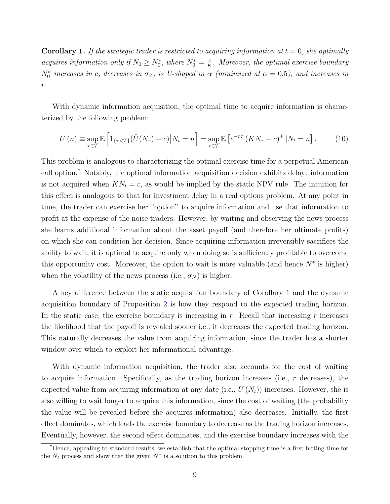<span id="page-8-1"></span>**Corollary 1.** If the strategic trader is restricted to acquiring information at  $t = 0$ , she optimally acquires information only if  $N_0 \ge N_0^*$ , where  $N_0^* = \frac{c}{K}$  $\frac{c}{K}$ . Moreover, the optimal exercise boundary  $N_0^*$  increases in c, decreases in  $\sigma_Z$ , is U-shaped in  $\alpha$  (minimized at  $\alpha = 0.5$ ), and increases in r.

With dynamic information acquisition, the optimal time to acquire information is characterized by the following problem:

$$
U(n) \equiv \sup_{\tau \in \mathcal{T}} \mathbb{E} \left[ 1_{\{\tau < T\}} (\hat{U}(N_{\tau}) - c) \big| N_t = n \right] = \sup_{\tau \in \mathcal{T}} \mathbb{E} \left[ e^{-r\tau} \left( K N_{\tau} - c \right)^{+} \big| N_t = n \right]. \tag{10}
$$

This problem is analogous to characterizing the optimal exercise time for a perpetual American call option.[7](#page-8-0) Notably, the optimal information acquisition decision exhibits delay: information is not acquired when  $KN_t = c$ , as would be implied by the static NPV rule. The intuition for this effect is analogous to that for investment delay in a real options problem. At any point in time, the trader can exercise her "option" to acquire information and use that information to profit at the expense of the noise traders. However, by waiting and observing the news process she learns additional information about the asset payoff (and therefore her ultimate profits) on which she can condition her decision. Since acquiring information irreversibly sacrifices the ability to wait, it is optimal to acquire only when doing so is sufficiently profitable to overcome this opportunity cost. Moreover, the option to wait is more valuable (and hence  $N^*$  is higher) when the volatility of the news process (i.e.,  $\sigma_N$ ) is higher.

A key difference between the static acquisition boundary of Corollary [1](#page-8-1) and the dynamic acquisition boundary of Proposition [2](#page-7-1) is how they respond to the expected trading horizon. In the static case, the exercise boundary is increasing in r. Recall that increasing r increases the likelihood that the payoff is revealed sooner i.e., it decreases the expected trading horizon. This naturally decreases the value from acquiring information, since the trader has a shorter window over which to exploit her informational advantage.

With dynamic information acquisition, the trader also accounts for the cost of waiting to acquire information. Specifically, as the trading horizon increases (i.e.,  $r$  decreases), the expected value from acquiring information at any date (i.e.,  $U(N_t)$ ) increases. However, she is also willing to wait longer to acquire this information, since the cost of waiting (the probability the value will be revealed before she acquires information) also decreases. Initially, the first effect dominates, which leads the exercise boundary to decrease as the trading horizon increases. Eventually, however, the second effect dominates, and the exercise boundary increases with the

<span id="page-8-0"></span><sup>7</sup>Hence, appealing to standard results, we establish that the optimal stopping time is a first hitting time for the  $N_t$  process and show that the given  $N^*$  is a solution to this problem.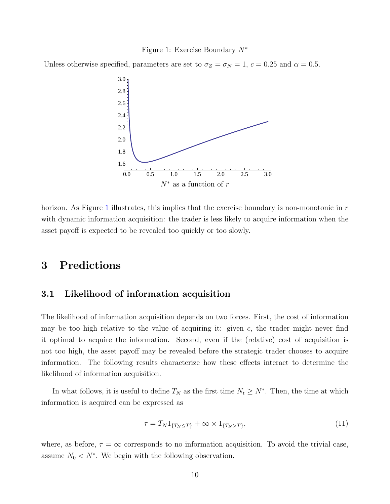#### Figure 1: Exercise Boundary N<sup>∗</sup>

<span id="page-9-0"></span>Unless otherwise specified, parameters are set to  $\sigma_Z = \sigma_N = 1, c = 0.25$  and  $\alpha = 0.5$ .



horizon. As Figure [1](#page-9-0) illustrates, this implies that the exercise boundary is non-monotonic in  $r$ with dynamic information acquisition: the trader is less likely to acquire information when the asset payoff is expected to be revealed too quickly or too slowly.

# 3 Predictions

### 3.1 Likelihood of information acquisition

The likelihood of information acquisition depends on two forces. First, the cost of information may be too high relative to the value of acquiring it: given  $c$ , the trader might never find it optimal to acquire the information. Second, even if the (relative) cost of acquisition is not too high, the asset payoff may be revealed before the strategic trader chooses to acquire information. The following results characterize how these effects interact to determine the likelihood of information acquisition.

In what follows, it is useful to define  $T_N$  as the first time  $N_t \geq N^*$ . Then, the time at which information is acquired can be expressed as

$$
\tau = T_N \mathbb{1}_{\{T_N \le T\}} + \infty \times \mathbb{1}_{\{T_N > T\}},\tag{11}
$$

where, as before,  $\tau = \infty$  corresponds to no information acquisition. To avoid the trivial case, assume  $N_0 < N^*$ . We begin with the following observation.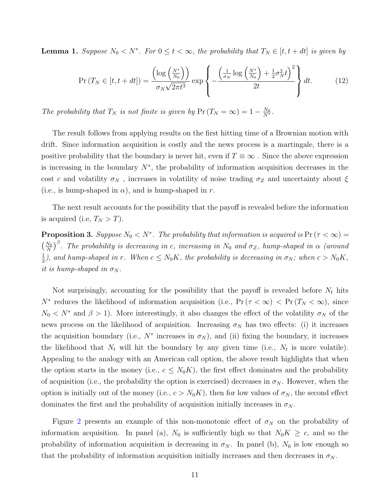<span id="page-10-0"></span>**Lemma 1.** Suppose  $N_0 < N^*$ . For  $0 \le t < \infty$ , the probability that  $T_N \in [t, t + dt]$  is given by

$$
\Pr\left(T_N \in [t, t+dt]\right) = \frac{\left(\log\left(\frac{N^*}{N_0}\right)\right)}{\sigma_N \sqrt{2\pi t^3}} \exp\left\{-\frac{\left(\frac{1}{\sigma_N} \log\left(\frac{N^*}{N_0}\right) + \frac{1}{2}\sigma_N^2 t\right)^2}{2t}\right\} dt. \tag{12}
$$

The probability that  $T_N$  is not finite is given by  $Pr(T_N = \infty) = 1 - \frac{N_0}{N^*}.$ 

The result follows from applying results on the first hitting time of a Brownian motion with drift. Since information acquisition is costly and the news process is a martingale, there is a positive probability that the boundary is never hit, even if  $T \equiv \infty$ . Since the above expression is increasing in the boundary  $N^*$ , the probability of information acquisition decreases in the cost c and volatility  $\sigma_N$ , increases in volatility of noise trading  $\sigma_Z$  and uncertainty about  $\xi$ (i.e., is hump-shaped in  $\alpha$ ), and is hump-shaped in r.

The next result accounts for the possibility that the payoff is revealed before the information is acquired (i.e,  $T_N > T$ ).

<span id="page-10-1"></span>**Proposition 3.** Suppose  $N_0 < N^*$ . The probability that information is acquired is  $Pr(\tau < \infty)$  =  $\left(\frac{N_0}{N}\right)^{\beta}$ . The probability is decreasing in c, increasing in  $N_0$  and  $\sigma_Z$ , hump-shaped in  $\alpha$  (around 1  $\frac{1}{2}$ ), and hump-shaped in r. When  $c \leq N_0K$ , the probability is decreasing in  $\sigma_N$ ; when  $c > N_0K$ , it is hump-shaped in  $\sigma_N$ .

Not surprisingly, accounting for the possibility that the payoff is revealed before  $N_t$  hits  $N^*$  reduces the likelihood of information acquisition (i.e.,  $Pr(\tau < \infty) < Pr(T_N < \infty)$ , since  $N_0 \le N^*$  and  $\beta > 1$ ). More interestingly, it also changes the effect of the volatility  $\sigma_N$  of the news process on the likelihood of acquisition. Increasing  $\sigma_N$  has two effects: (i) it increases the acquisition boundary (i.e.,  $N^*$  increases in  $\sigma_N$ ), and (ii) fixing the boundary, it increases the likelihood that  $N_t$  will hit the boundary by any given time (i.e.,  $N_t$  is more volatile). Appealing to the analogy with an American call option, the above result highlights that when the option starts in the money (i.e.,  $c \leq N_0K$ ), the first effect dominates and the probability of acquisition (i.e., the probability the option is exercised) decreases in  $\sigma_N$ . However, when the option is initially out of the money (i.e.,  $c > N_0K$ ), then for low values of  $\sigma_N$ , the second effect dominates the first and the probability of acquisition initially increases in  $\sigma_N$ .

Figure [2](#page-11-0) presents an example of this non-monotonic effect of  $\sigma_N$  on the probability of information acquisition. In panel (a),  $N_0$  is sufficiently high so that  $N_0K \geq c$ , and so the probability of information acquisition is decreasing in  $\sigma_N$ . In panel (b),  $N_0$  is low enough so that the probability of information acquisition initially increases and then decreases in  $\sigma_N$ .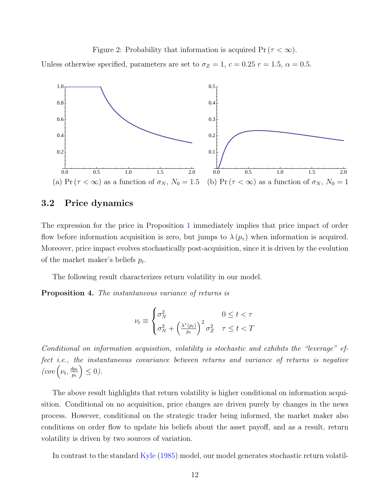Figure 2: Probability that information is acquired  $Pr(\tau < \infty)$ .

<span id="page-11-0"></span>Unless otherwise specified, parameters are set to  $\sigma_Z = 1$ ,  $c = 0.25$   $r = 1.5$ ,  $\alpha = 0.5$ .



### 3.2 Price dynamics

The expression for the price in Proposition [1](#page-6-0) immediately implies that price impact of order flow before information acquisition is zero, but jumps to  $\lambda(p_\tau)$  when information is acquired. Moreover, price impact evolves stochastically post-acquisition, since it is driven by the evolution of the market maker's beliefs  $p_t$ .

The following result characterizes return volatility in our model.

<span id="page-11-1"></span>Proposition 4. The instantaneous variance of returns is

$$
\nu_t \equiv \begin{cases} \sigma_N^2 & 0 \le t < \tau \\ \sigma_N^2 + \left(\frac{\lambda^*(p_t)}{p_t}\right)^2 \sigma_Z^2 & \tau \le t < T \end{cases}
$$

Conditional on information acquisition, volatility is stochastic and exhibits the "leverage" effect i.e., the instantaneous covariance between returns and variance of returns is negative  $\left(\cos\left(\nu_t,\frac{dp_t}{p_t}\right)\right)$  $p_t$  $\Big) \leq 0$ .

The above result highlights that return volatility is higher conditional on information acquisition. Conditional on no acquisition, price changes are driven purely by changes in the news process. However, conditional on the strategic trader being informed, the market maker also conditions on order flow to update his beliefs about the asset payoff, and as a result, return volatility is driven by two sources of variation.

In contrast to the standard [Kyle](#page-16-1) [\(1985\)](#page-16-1) model, our model generates stochastic return volatil-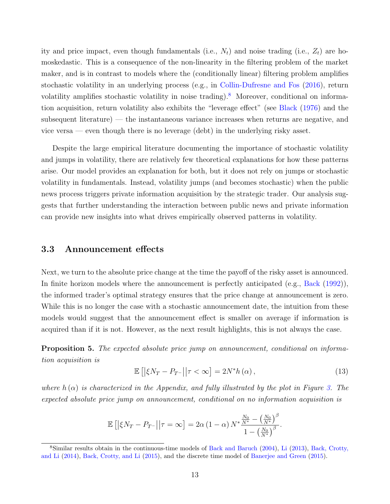ity and price impact, even though fundamentals (i.e.,  $N_t$ ) and noise trading (i.e.,  $Z_t$ ) are homoskedastic. This is a consequence of the non-linearity in the filtering problem of the market maker, and is in contrast to models where the (conditionally linear) filtering problem amplifies stochastic volatility in an underlying process (e.g., in [Collin-Dufresne and Fos](#page-16-4) [\(2016\)](#page-16-4), return volatility amplifies stochastic volatility in noise trading).<sup>[8](#page-12-0)</sup> Moreover, conditional on information acquisition, return volatility also exhibits the "leverage effect" (see [Black](#page-16-9) [\(1976\)](#page-16-9) and the subsequent literature) — the instantaneous variance increases when returns are negative, and vice versa — even though there is no leverage (debt) in the underlying risky asset.

Despite the large empirical literature documenting the importance of stochastic volatility and jumps in volatility, there are relatively few theoretical explanations for how these patterns arise. Our model provides an explanation for both, but it does not rely on jumps or stochastic volatility in fundamentals. Instead, volatility jumps (and becomes stochastic) when the public news process triggers private information acquisition by the strategic trader. Our analysis suggests that further understanding the interaction between public news and private information can provide new insights into what drives empirically observed patterns in volatility.

#### 3.3 Announcement effects

Next, we turn to the absolute price change at the time the payoff of the risky asset is announced. In finite horizon models where the announcement is perfectly anticipated (e.g., [Back](#page-16-5) [\(1992\)](#page-16-5)), the informed trader's optimal strategy ensures that the price change at announcement is zero. While this is no longer the case with a stochastic announcement date, the intuition from these models would suggest that the announcement effect is smaller on average if information is acquired than if it is not. However, as the next result highlights, this is not always the case.

<span id="page-12-1"></span>**Proposition 5.** The expected absolute price jump on announcement, conditional on information acquisition is

$$
\mathbb{E}\left[\left|\xi N_{T} - P_{T^{-}}\right|\middle|\tau < \infty\right] = 2N^{*}h\left(\alpha\right),\tag{13}
$$

where  $h(\alpha)$  is characterized in the Appendix, and fully illustrated by the plot in Figure [3.](#page-13-0) The expected absolute price jump on announcement, conditional on no information acquisition is

$$
\mathbb{E}\left[\left|\xi N_T - P_{T^-}\right|\middle|\tau = \infty\right] = 2\alpha \left(1 - \alpha\right) N^* \frac{\frac{N_0}{N^*} - \left(\frac{N_0}{N^*}\right)^{\beta}}{1 - \left(\frac{N_0}{N^*}\right)^{\beta}}.
$$

<span id="page-12-0"></span><sup>8</sup>Similar results obtain in the continuous-time models of [Back and Baruch](#page-16-2) [\(2004\)](#page-16-2), [Li](#page-16-10) [\(2013\)](#page-16-10), [Back, Crotty,](#page-16-11) [and Li](#page-16-11) [\(2014\)](#page-16-11), [Back, Crotty, and Li](#page-16-12) [\(2015\)](#page-16-12), and the discrete time model of [Banerjee and Green](#page-16-13) [\(2015\)](#page-16-13).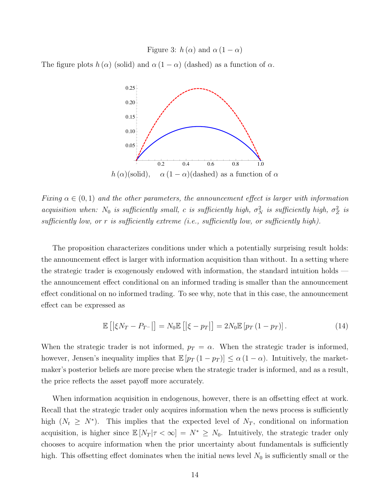Figure 3:  $h(\alpha)$  and  $\alpha (1 - \alpha)$ 

<span id="page-13-0"></span>The figure plots  $h(\alpha)$  (solid) and  $\alpha(1-\alpha)$  (dashed) as a function of  $\alpha$ .



Fixing  $\alpha \in (0,1)$  and the other parameters, the announcement effect is larger with information acquisition when: N<sub>0</sub> is sufficiently small, c is sufficiently high,  $\sigma_N^2$  is sufficiently high,  $\sigma_Z^2$  is sufficiently low, or r is sufficiently extreme (i.e., sufficiently low, or sufficiently high).

The proposition characterizes conditions under which a potentially surprising result holds: the announcement effect is larger with information acquisition than without. In a setting where the strategic trader is exogenously endowed with information, the standard intuition holds the announcement effect conditional on an informed trading is smaller than the announcement effect conditional on no informed trading. To see why, note that in this case, the announcement effect can be expressed as

$$
\mathbb{E}\left[\left|\xi N_T - P_{T} - \right|\right] = N_0 \mathbb{E}\left[\left|\xi - p_T\right|\right] = 2N_0 \mathbb{E}\left[p_T\left(1 - p_T\right)\right].\tag{14}
$$

When the strategic trader is not informed,  $p_T = \alpha$ . When the strategic trader is informed, however, Jensen's inequality implies that  $\mathbb{E}[p_T(1-p_T)] \leq \alpha(1-\alpha)$ . Intuitively, the marketmaker's posterior beliefs are more precise when the strategic trader is informed, and as a result, the price reflects the asset payoff more accurately.

When information acquisition in endogenous, however, there is an offsetting effect at work. Recall that the strategic trader only acquires information when the news process is sufficiently high  $(N_t \geq N^*)$ . This implies that the expected level of  $N_T$ , conditional on information acquisition, is higher since  $\mathbb{E}[N_T | \tau < \infty] = N^* \ge N_0$ . Intuitively, the strategic trader only chooses to acquire information when the prior uncertainty about fundamentals is sufficiently high. This offsetting effect dominates when the initial news level  $N_0$  is sufficiently small or the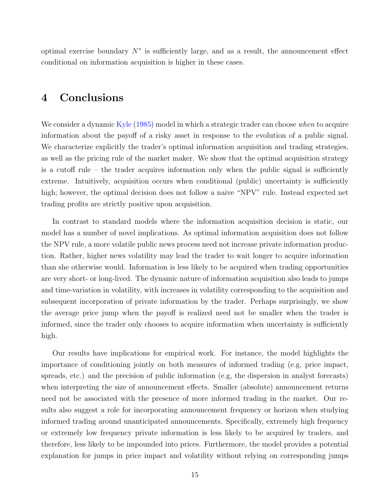optimal exercise boundary  $N^*$  is sufficiently large, and as a result, the announcement effect conditional on information acquisition is higher in these cases.

# 4 Conclusions

We consider a dynamic [Kyle](#page-16-1) [\(1985\)](#page-16-1) model in which a strategic trader can choose *when* to acquire information about the payoff of a risky asset in response to the evolution of a public signal. We characterize explicitly the trader's optimal information acquisition and trading strategies, as well as the pricing rule of the market maker. We show that the optimal acquisition strategy is a cutoff rule – the trader acquires information only when the public signal is sufficiently extreme. Intuitively, acquisition occurs when conditional (public) uncertainty is sufficiently high; however, the optimal decision does not follow a naive "NPV" rule. Instead expected net trading profits are strictly positive upon acquisition.

In contrast to standard models where the information acquisition decision is static, our model has a number of novel implications. As optimal information acquisition does not follow the NPV rule, a more volatile public news process need not increase private information production. Rather, higher news volatility may lead the trader to wait longer to acquire information than she otherwise would. Information is less likely to be acquired when trading opportunities are very short- or long-lived. The dynamic nature of information acquisition also leads to jumps and time-variation in volatility, with increases in volatility corresponding to the acquisition and subsequent incorporation of private information by the trader. Perhaps surprisingly, we show the average price jump when the payoff is realized need not be smaller when the trader is informed, since the trader only chooses to acquire information when uncertainty is sufficiently high.

Our results have implications for empirical work. For instance, the model highlights the importance of conditioning jointly on both measures of informed trading (e.g, price impact, spreads, etc.) and the precision of public information (e.g, the dispersion in analyst forecasts) when interpreting the size of announcement effects. Smaller (absolute) announcement returns need not be associated with the presence of more informed trading in the market. Our results also suggest a role for incorporating announcement frequency or horizon when studying informed trading around unanticipated announcements. Specifically, extremely high frequency or extremely low frequency private information is less likely to be acquired by traders, and therefore, less likely to be impounded into prices. Furthermore, the model provides a potential explanation for jumps in price impact and volatility without relying on corresponding jumps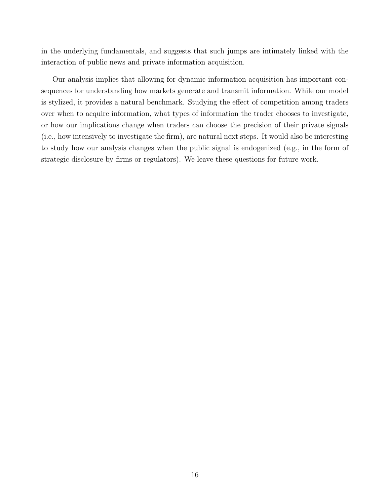in the underlying fundamentals, and suggests that such jumps are intimately linked with the interaction of public news and private information acquisition.

Our analysis implies that allowing for dynamic information acquisition has important consequences for understanding how markets generate and transmit information. While our model is stylized, it provides a natural benchmark. Studying the effect of competition among traders over when to acquire information, what types of information the trader chooses to investigate, or how our implications change when traders can choose the precision of their private signals (i.e., how intensively to investigate the firm), are natural next steps. It would also be interesting to study how our analysis changes when the public signal is endogenized (e.g., in the form of strategic disclosure by firms or regulators). We leave these questions for future work.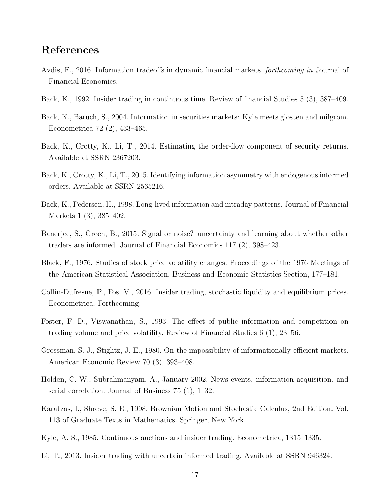# References

- <span id="page-16-3"></span>Avdis, E., 2016. Information tradeoffs in dynamic financial markets. forthcoming in Journal of Financial Economics.
- <span id="page-16-5"></span>Back, K., 1992. Insider trading in continuous time. Review of financial Studies 5 (3), 387–409.
- <span id="page-16-2"></span>Back, K., Baruch, S., 2004. Information in securities markets: Kyle meets glosten and milgrom. Econometrica 72 (2), 433–465.
- <span id="page-16-11"></span>Back, K., Crotty, K., Li, T., 2014. Estimating the order-flow component of security returns. Available at SSRN 2367203.
- <span id="page-16-12"></span>Back, K., Crotty, K., Li, T., 2015. Identifying information asymmetry with endogenous informed orders. Available at SSRN 2565216.
- <span id="page-16-7"></span>Back, K., Pedersen, H., 1998. Long-lived information and intraday patterns. Journal of Financial Markets 1 (3), 385–402.
- <span id="page-16-13"></span>Banerjee, S., Green, B., 2015. Signal or noise? uncertainty and learning about whether other traders are informed. Journal of Financial Economics 117 (2), 398–423.
- <span id="page-16-9"></span>Black, F., 1976. Studies of stock price volatility changes. Proceedings of the 1976 Meetings of the American Statistical Association, Business and Economic Statistics Section, 177–181.
- <span id="page-16-4"></span>Collin-Dufresne, P., Fos, V., 2016. Insider trading, stochastic liquidity and equilibrium prices. Econometrica, Forthcoming.
- <span id="page-16-6"></span>Foster, F. D., Viswanathan, S., 1993. The effect of public information and competition on trading volume and price volatility. Review of Financial Studies 6 (1), 23–56.
- <span id="page-16-0"></span>Grossman, S. J., Stiglitz, J. E., 1980. On the impossibility of informationally efficient markets. American Economic Review 70 (3), 393–408.
- <span id="page-16-8"></span>Holden, C. W., Subrahmanyam, A., January 2002. News events, information acquisition, and serial correlation. Journal of Business 75 (1), 1–32.
- <span id="page-16-14"></span>Karatzas, I., Shreve, S. E., 1998. Brownian Motion and Stochastic Calculus, 2nd Edition. Vol. 113 of Graduate Texts in Mathematics. Springer, New York.
- <span id="page-16-1"></span>Kyle, A. S., 1985. Continuous auctions and insider trading. Econometrica, 1315–1335.
- <span id="page-16-10"></span>Li, T., 2013. Insider trading with uncertain informed trading. Available at SSRN 946324.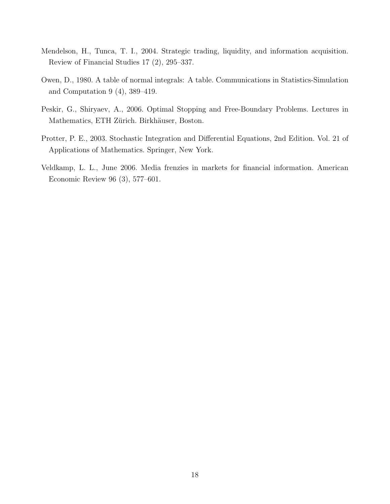- <span id="page-17-0"></span>Mendelson, H., Tunca, T. I., 2004. Strategic trading, liquidity, and information acquisition. Review of Financial Studies 17 (2), 295–337.
- <span id="page-17-4"></span>Owen, D., 1980. A table of normal integrals: A table. Communications in Statistics-Simulation and Computation 9 (4), 389–419.
- <span id="page-17-3"></span>Peskir, G., Shiryaev, A., 2006. Optimal Stopping and Free-Boundary Problems. Lectures in Mathematics, ETH Zürich. Birkhäuser, Boston.
- <span id="page-17-2"></span>Protter, P. E., 2003. Stochastic Integration and Differential Equations, 2nd Edition. Vol. 21 of Applications of Mathematics. Springer, New York.
- <span id="page-17-1"></span>Veldkamp, L. L., June 2006. Media frenzies in markets for financial information. American Economic Review 96 (3), 577–601.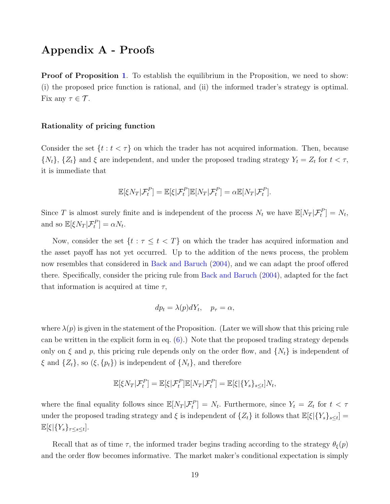# Appendix A - Proofs

**Proof of Proposition [1](#page-6-0).** To establish the equilibrium in the Proposition, we need to show: (i) the proposed price function is rational, and (ii) the informed trader's strategy is optimal. Fix any  $\tau \in \mathcal{T}$ .

#### Rationality of pricing function

Consider the set  $\{t : t < \tau\}$  on which the trader has not acquired information. Then, because  $\{N_t\}$ ,  $\{Z_t\}$  and  $\xi$  are independent, and under the proposed trading strategy  $Y_t = Z_t$  for  $t < \tau$ , it is immediate that

$$
\mathbb{E}[\xi N_T | \mathcal{F}_t^P] = \mathbb{E}[\xi | \mathcal{F}_t^P] \mathbb{E}[N_T | \mathcal{F}_t^P] = \alpha \mathbb{E}[N_T | \mathcal{F}_t^P].
$$

Since T is almost surely finite and is independent of the process  $N_t$  we have  $\mathbb{E}[N_T|\mathcal{F}_t^P]=N_t$ , and so  $\mathbb{E}[\xi N_T | \mathcal{F}_t^P] = \alpha N_t$ .

Now, consider the set  $\{t : \tau \leq t < T\}$  on which the trader has acquired information and the asset payoff has not yet occurred. Up to the addition of the news process, the problem now resembles that considered in [Back and Baruch](#page-16-2) [\(2004\)](#page-16-2), and we can adapt the proof offered there. Specifically, consider the pricing rule from [Back and Baruch](#page-16-2) [\(2004\)](#page-16-2), adapted for the fact that information is acquired at time  $\tau$ ,

$$
dp_t = \lambda(p)dY_t, \quad p_\tau = \alpha,
$$

where  $\lambda(p)$  is given in the statement of the Proposition. (Later we will show that this pricing rule can be written in the explicit form in eq.  $(6)$ .) Note that the proposed trading strategy depends only on  $\xi$  and p, this pricing rule depends only on the order flow, and  $\{N_t\}$  is independent of  $\xi$  and  $\{Z_t\}$ , so  $(\xi, \{p_t\})$  is independent of  $\{N_t\}$ , and therefore

$$
\mathbb{E}[\xi N_T|\mathcal{F}_t^P] = \mathbb{E}[\xi|\mathcal{F}_t^P]\mathbb{E}[N_T|\mathcal{F}_t^P] = \mathbb{E}[\xi|\{Y_s\}_{s\leq t}]N_t,
$$

where the final equality follows since  $\mathbb{E}[N_T|\mathcal{F}_t^P] = N_t$ . Furthermore, since  $Y_t = Z_t$  for  $t < \tau$ under the proposed trading strategy and  $\xi$  is independent of  $\{Z_t\}$  it follows that  $\mathbb{E}[\xi]\{Y_s\}_{s\leq t}$  =  $\mathbb{E}[\xi|\{Y_s\}_{\tau\leq s\leq t}].$ 

Recall that as of time  $\tau$ , the informed trader begins trading according to the strategy  $\theta_{\xi}(p)$ and the order flow becomes informative. The market maker's conditional expectation is simply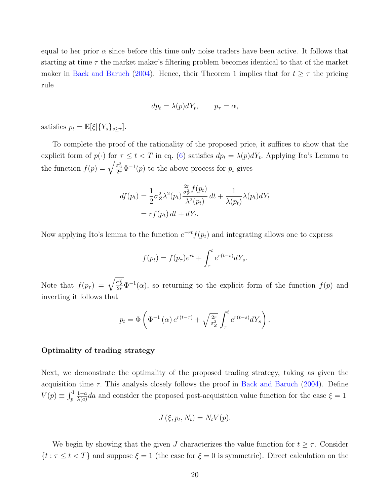equal to her prior  $\alpha$  since before this time only noise traders have been active. It follows that starting at time  $\tau$  the market maker's filtering problem becomes identical to that of the market maker in [Back and Baruch](#page-16-2) [\(2004\)](#page-16-2). Hence, their Theorem 1 implies that for  $t \geq \tau$  the pricing rule

$$
dp_t = \lambda(p)dY_t, \qquad p_\tau = \alpha,
$$

satisfies  $p_t = \mathbb{E}[\xi|\{Y_s\}_{s>\tau}].$ 

To complete the proof of the rationality of the proposed price, it suffices to show that the explicit form of  $p(\cdot)$  for  $\tau \le t < T$  in eq. [\(6\)](#page-6-1) satisfies  $dp_t = \lambda(p)dY_t$ . Applying Ito's Lemma to the function  $f(p) = \sqrt{\frac{\sigma_Z^2}{2r}} \Phi^{-1}(p)$  to the above process for  $p_t$  gives

$$
df(p_t) = \frac{1}{2}\sigma_Z^2 \lambda^2(p_t) \frac{\frac{2r}{\sigma_Z^2} f(p_t)}{\lambda^2(p_t)} dt + \frac{1}{\lambda(p_t)} \lambda(p_t) dY_t
$$
  
=  $rf(p_t) dt + dY_t.$ 

Now applying Ito's lemma to the function  $e^{-rt}f(p_t)$  and integrating allows one to express

$$
f(p_t) = f(p_\tau)e^{rt} + \int_\tau^t e^{r(t-s)}dY_s.
$$

Note that  $f(p_\tau) = \sqrt{\frac{\sigma_Z^2}{2r}} \Phi^{-1}(\alpha)$ , so returning to the explicit form of the function  $f(p)$  and inverting it follows that

$$
p_t = \Phi\left(\Phi^{-1}\left(\alpha\right)e^{r(t-\tau)} + \sqrt{\frac{2r}{\sigma_Z^2}} \int_{\tau}^t e^{r(t-s)}dY_s\right).
$$

#### Optimality of trading strategy

Next, we demonstrate the optimality of the proposed trading strategy, taking as given the acquisition time  $\tau$ . This analysis closely follows the proof in [Back and Baruch](#page-16-2) [\(2004\)](#page-16-2). Define  $V(p) \equiv \int_p^1$  $1-a$  $\frac{1-a}{\lambda(a)}da$  and consider the proposed post-acquisition value function for the case  $\xi = 1$ 

$$
J(\xi, p_t, N_t) = N_t V(p).
$$

We begin by showing that the given J characterizes the value function for  $t \geq \tau$ . Consider  $\{t : \tau \le t < T\}$  and suppose  $\xi = 1$  (the case for  $\xi = 0$  is symmetric). Direct calculation on the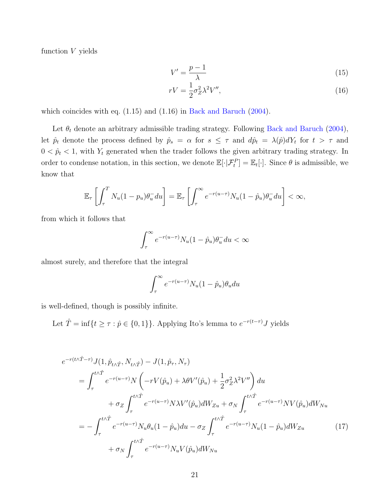function  $V$  yields

<span id="page-20-1"></span><span id="page-20-0"></span>
$$
V' = \frac{p-1}{\lambda} \tag{15}
$$

$$
rV = \frac{1}{2}\sigma_Z^2 \lambda^2 V'',\tag{16}
$$

which coincides with eq.  $(1.15)$  and  $(1.16)$  in [Back and Baruch](#page-16-2)  $(2004)$ .

Let  $\theta_t$  denote an arbitrary admissible trading strategy. Following [Back and Baruch](#page-16-2) [\(2004\)](#page-16-2), let  $\hat{p}_t$  denote the process defined by  $\hat{p}_s = \alpha$  for  $s \leq \tau$  and  $d\hat{p}_t = \lambda(\hat{p})dY_t$  for  $t > \tau$  and  $0 < \hat{p}_t < 1$ , with  $Y_t$  generated when the trader follows the given arbitrary trading strategy. In order to condense notation, in this section, we denote  $\mathbb{E}[\cdot|\mathcal{F}_t^P] = \mathbb{E}_t[\cdot]$ . Since  $\theta$  is admissible, we know that

$$
\mathbb{E}_{\tau}\left[\int_{\tau}^{T} N_{u}(1-p_{u})\theta_{u}^{-} du\right] = \mathbb{E}_{\tau}\left[\int_{\tau}^{\infty} e^{-r(u-\tau)} N_{u}(1-\hat{p}_{u})\theta_{u}^{-} du\right] < \infty,
$$

from which it follows that

$$
\int_{\tau}^{\infty} e^{-r(u-\tau)} N_u (1 - \hat{p}_u) \theta_u^{-} du < \infty
$$

almost surely, and therefore that the integral

<span id="page-20-2"></span>
$$
\int_{\tau}^{\infty} e^{-r(u-\tau)} N_u (1 - \hat{p}_u) \theta_u du
$$

is well-defined, though is possibly infinite.

Let  $\hat{T} = \inf\{t \geq \tau : \hat{p} \in \{0, 1\}\}\.$  Applying Ito's lemma to  $e^{-r(t-\tau)}J$  yields

$$
e^{-r(t\wedge \hat{T}-\tau)}J(1,\hat{p}_{t\wedge \hat{T}},N_{t\wedge \hat{T}})-J(1,\hat{p}_{\tau},N_{\tau})
$$
  
\n
$$
=\int_{\tau}^{t\wedge \hat{T}}e^{-r(u-\tau)}N\left(-rV(\hat{p}_u)+\lambda\theta V'(\hat{p}_u)+\frac{1}{2}\sigma_Z^2\lambda^2V''\right)du
$$
  
\n
$$
+\sigma_Z\int_{\tau}^{t\wedge \hat{T}}e^{-r(u-\tau)}N\lambda V'(\hat{p}_u)dW_{Zu}+\sigma_N\int_{\tau}^{t\wedge \hat{T}}e^{-r(u-\tau)}NV(\hat{p}_u)dW_{Nu}
$$
  
\n
$$
=-\int_{\tau}^{t\wedge \hat{T}}e^{-r(u-\tau)}N_u\theta_u(1-\hat{p}_u)du-\sigma_Z\int_{\tau}^{t\wedge \hat{T}}e^{-r(u-\tau)}N_u(1-\hat{p}_u)dW_{Zu}
$$
(17)  
\n
$$
+\sigma_N\int_{\tau}^{t\wedge \hat{T}}e^{-r(u-\tau)}N_uV(\hat{p}_u)dW_{Nu}
$$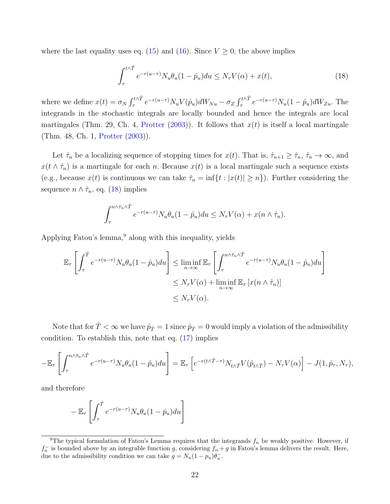where the last equality uses eq. [\(15\)](#page-20-0) and [\(16\)](#page-20-1). Since  $V \geq 0$ , the above implies

<span id="page-21-0"></span>
$$
\int_{\tau}^{t \wedge \hat{T}} e^{-r(u-\tau)} N_u \theta_u (1 - \hat{p}_u) du \le N_\tau V(\alpha) + x(t), \tag{18}
$$

where we define  $x(t) = \sigma_N \int_{\tau}^{t \wedge \hat{T}} e^{-r(u-\tau)} N_u V(\hat{p}_u) dW_{Nu} - \sigma_Z \int_{\tau}^{t \wedge \hat{T}} e^{-r(u-\tau)} N_u (1-\hat{p}_u) dW_{Zu}$ . The integrands in the stochastic integrals are locally bounded and hence the integrals are local martingales (Thm. 29, Ch. 4, [Protter](#page-17-2) [\(2003\)](#page-17-2)). It follows that  $x(t)$  is itself a local martingale (Thm. 48, Ch. 1, [Protter](#page-17-2) [\(2003\)](#page-17-2)).

Let  $\hat{\tau}_n$  be a localizing sequence of stopping times for  $x(t)$ . That is,  $\hat{\tau}_{n+1} \geq \hat{\tau}_n$ ,  $\hat{\tau}_n \to \infty$ , and  $x(t \wedge \hat{\tau}_n)$  is a martingale for each n. Because  $x(t)$  is a local martingale such a sequence exists (e.g., because  $x(t)$  is continuous we can take  $\hat{\tau}_n = \inf\{t : |x(t)| \geq n\}$ ). Further considering the sequence  $n \wedge \hat{\tau}_n$ , eq. [\(18\)](#page-21-0) implies

$$
\int_{\tau}^{n \wedge \hat{\tau}_n \wedge \hat{T}} e^{-r(u-\tau)} N_u \theta_u (1-\hat{p}_u) du \leq N_{\tau} V(\alpha) + x(n \wedge \hat{\tau}_n).
$$

Applying Fatou's lemma, $9$  along with this inequality, yields

$$
\mathbb{E}_{\tau} \left[ \int_{\tau}^{\hat{T}} e^{-r(u-\tau)} N_u \theta_u (1 - \hat{p}_u) du \right] \leq \liminf_{n \to \infty} \mathbb{E}_{\tau} \left[ \int_{\tau}^{n \wedge \hat{\tau}_n \wedge \hat{T}} e^{-r(u-\tau)} N_u \theta_u (1 - \hat{p}_u) du \right]
$$
  

$$
\leq N_{\tau} V(\alpha) + \liminf_{n \to \infty} \mathbb{E}_{\tau} \left[ x(n \wedge \hat{\tau}_n) \right]
$$
  

$$
\leq N_{\tau} V(\alpha).
$$

Note that for  $\hat{T} < \infty$  we have  $\hat{p}_{\hat{T}} = 1$  since  $\hat{p}_{\hat{T}} = 0$  would imply a violation of the admissibility condition. To establish this, note that eq. [\(17\)](#page-20-2) implies

$$
-\mathbb{E}_{\tau}\left[\int_{\tau}^{n\wedge\hat{\tau}_n\wedge\hat{T}} e^{-r(u-\tau)} N_u \theta_u (1-\hat{p}_u) du\right] = \mathbb{E}_{\tau}\left[e^{-r(t\wedge\hat{T}-\tau)} N_{t\wedge\hat{T}} V(\hat{p}_{t\wedge\hat{T}}) - N_{\tau} V(\alpha)\right] - J(1,\hat{p}_{\tau},N_{\tau}),
$$

and therefore

$$
-\mathbb{E}_\tau\left[\int_\tau^{\hat T} e^{-r(u-\tau)} N_u \theta_u(1-\hat p_u) du\right]
$$

<span id="page-21-1"></span><sup>&</sup>lt;sup>9</sup>The typical formulation of Fatou's Lemma requires that the integrands  $f_n$  be weakly positive. However, if  $f_n^-$  is bounded above by an integrable function g, considering  $f_n + g$  in Fatou's lemma delivers the result. Here, due to the admissibility condition we can take  $g = N_u(1 - p_u)\theta_u^-$ .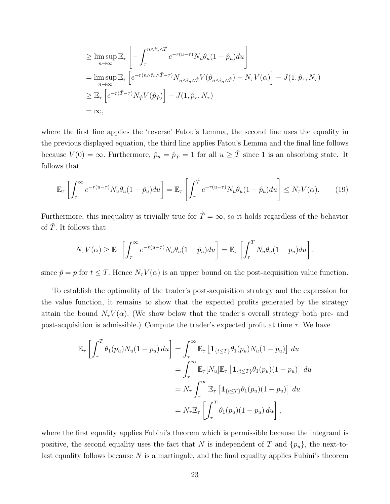$$
\geq \limsup_{n \to \infty} \mathbb{E}_{\tau} \left[ - \int_{\tau}^{n \wedge \hat{\tau}_n \wedge \hat{T}} e^{-r(u-\tau)} N_u \theta_u (1 - \hat{p}_u) du \right]
$$
  
\n
$$
= \limsup_{n \to \infty} \mathbb{E}_{\tau} \left[ e^{-r(n \wedge \hat{\tau}_n \wedge \hat{T} - \tau)} N_{n \wedge \hat{\tau}_n \wedge \hat{T}} V(\hat{p}_{n \wedge \hat{\tau}_n \wedge \hat{T}}) - N_{\tau} V(\alpha) \right] - J(1, \hat{p}_{\tau}, N_{\tau})
$$
  
\n
$$
\geq \mathbb{E}_{\tau} \left[ e^{-r(\hat{T} - \tau)} N_{\hat{T}} V(\hat{p}_{\hat{T}}) \right] - J(1, \hat{p}_{\tau}, N_{\tau})
$$
  
\n
$$
= \infty,
$$

where the first line applies the 'reverse' Fatou's Lemma, the second line uses the equality in the previous displayed equation, the third line applies Fatou's Lemma and the final line follows because  $V(0) = \infty$ . Furthermore,  $\hat{p}_u = \hat{p}_{\hat{T}} = 1$  for all  $u \geq \hat{T}$  since 1 is an absorbing state. It follows that

$$
\mathbb{E}_{\tau}\left[\int_{\tau}^{\infty} e^{-r(u-\tau)} N_u \theta_u (1-\hat{p}_u) du\right] = \mathbb{E}_{\tau}\left[\int_{\tau}^{\hat{T}} e^{-r(u-\tau)} N_u \theta_u (1-\hat{p}_u) du\right] \le N_{\tau} V(\alpha). \tag{19}
$$

Furthermore, this inequality is trivially true for  $\hat{T} = \infty$ , so it holds regardless of the behavior of  $\hat{T}$ . It follows that

$$
N_{\tau}V(\alpha) \geq \mathbb{E}_{\tau}\left[\int_{\tau}^{\infty} e^{-r(u-\tau)} N_{u} \theta_{u} (1-\hat{p}_{u}) du\right] = \mathbb{E}_{\tau}\left[\int_{\tau}^{T} N_{u} \theta_{u} (1-p_{u}) du\right],
$$

since  $\hat{p} = p$  for  $t \leq T$ . Hence  $N_{\tau} V(\alpha)$  is an upper bound on the post-acquisition value function.

To establish the optimality of the trader's post-acquisition strategy and the expression for the value function, it remains to show that the expected profits generated by the strategy attain the bound  $N_{\tau}V(\alpha)$ . (We show below that the trader's overall strategy both pre- and post-acquisition is admissible.) Compute the trader's expected profit at time  $\tau$ . We have

$$
\mathbb{E}_{\tau} \left[ \int_{\tau}^{T} \theta_{1}(p_{u}) N_{u}(1-p_{u}) du \right] = \int_{\tau}^{\infty} \mathbb{E}_{\tau} \left[ \mathbf{1}_{\{t \leq T\}} \theta_{1}(p_{u}) N_{u}(1-p_{u}) \right] du
$$
  
\n
$$
= \int_{\tau}^{\infty} \mathbb{E}_{\tau} [N_{u}] \mathbb{E}_{\tau} \left[ \mathbf{1}_{\{t \leq T\}} \theta_{1}(p_{u})(1-p_{u}) \right] du
$$
  
\n
$$
= N_{\tau} \int_{\tau}^{\infty} \mathbb{E}_{\tau} \left[ \mathbf{1}_{\{t \leq T\}} \theta_{1}(p_{u})(1-p_{u}) \right] du
$$
  
\n
$$
= N_{\tau} \mathbb{E}_{\tau} \left[ \int_{\tau}^{T} \theta_{1}(p_{u})(1-p_{u}) du \right],
$$

where the first equality applies Fubini's theorem which is permissible because the integrand is positive, the second equality uses the fact that N is independent of T and  $\{p_u\}$ , the next-tolast equality follows because  $N$  is a martingale, and the final equality applies Fubini's theorem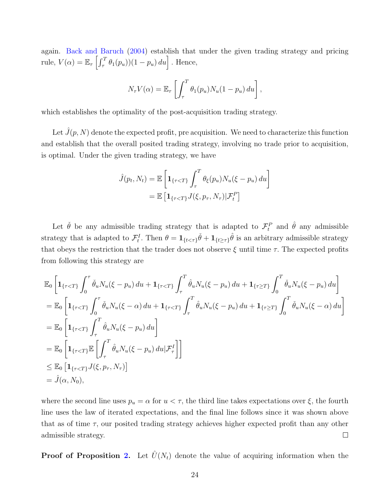again. [Back and Baruch](#page-16-2) [\(2004\)](#page-16-2) establish that under the given trading strategy and pricing rule,  $V(\alpha) = \mathbb{E}_{\tau} \left[ \int_{\tau}^{T} \theta_1(p_u) (1 - p_u) du \right]$ . Hence,

$$
N_{\tau}V(\alpha) = \mathbb{E}_{\tau}\left[\int_{\tau}^{T} \theta_{1}(p_{u})N_{u}(1-p_{u}) du\right],
$$

which establishes the optimality of the post-acquisition trading strategy.

Let  $\hat{J}(p, N)$  denote the expected profit, pre acquisition. We need to characterize this function and establish that the overall posited trading strategy, involving no trade prior to acquisition, is optimal. Under the given trading strategy, we have

$$
\hat{J}(p_t, N_t) = \mathbb{E}\left[\mathbf{1}_{\{\tau < T\}} \int_{\tau}^{T} \theta_{\xi}(p_u) N_u(\xi - p_u) \, du\right]
$$
\n
$$
= \mathbb{E}\left[\mathbf{1}_{\{\tau < T\}} J(\xi, p_\tau, N_\tau) | \mathcal{F}_t^P\right]
$$

Let  $\check{\theta}$  be any admissible trading strategy that is adapted to  $\mathcal{F}_t^P$  and  $\hat{\theta}$  any admissible strategy that is adapted to  $\mathcal{F}_t^I$ . Then  $\theta = \mathbf{1}_{\{t < \tau\}}\tilde{\theta} + \mathbf{1}_{\{t \geq \tau\}}\hat{\theta}$  is an arbitrary admissible strategy that obeys the restriction that the trader does not observe  $\xi$  until time  $\tau$ . The expected profits from following this strategy are

$$
\mathbb{E}_{0}\left[\mathbf{1}_{\{\tau\n
$$
=\mathbb{E}_{0}\left[\mathbf{1}_{\{\tau\n
$$
=\mathbb{E}_{0}\left[\mathbf{1}_{\{\tau\n
$$
=\mathbb{E}_{0}\left[\mathbf{1}_{\{\tau\n
$$
\leq\mathbb{E}_{0}\left[\mathbf{1}_{\{\tau\n
$$
=\hat{J}(\alpha,N_{0}),
$$
$$
$$
$$
$$
$$

where the second line uses  $p_u = \alpha$  for  $u < \tau$ , the third line takes expectations over  $\xi$ , the fourth line uses the law of iterated expectations, and the final line follows since it was shown above that as of time  $\tau$ , our posited trading strategy achieves higher expected profit than any other  $\Box$ admissible strategy.

**Proof of Proposition [2.](#page-7-1)** Let  $\hat{U}(N_t)$  denote the value of acquiring information when the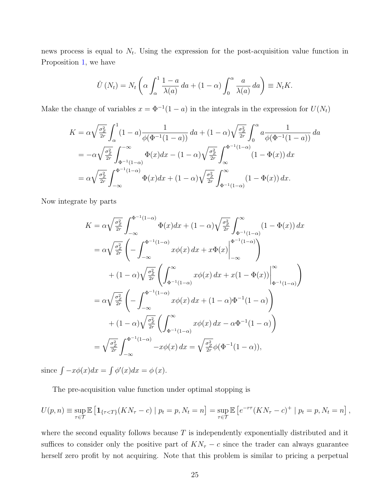news process is equal to  $N_t$ . Using the expression for the post-acquisition value function in Proposition [1,](#page-6-0) we have

$$
\hat{U}(N_t) = N_t \left( \alpha \int_{\alpha}^1 \frac{1-a}{\lambda(a)} da + (1-\alpha) \int_0^{\alpha} \frac{a}{\lambda(a)} da \right) \equiv N_t K.
$$

Make the change of variables  $x = \Phi^{-1}(1-a)$  in the integrals in the expression for  $U(N_t)$ 

$$
K = \alpha \sqrt{\frac{\sigma_Z^2}{2r}} \int_{\alpha}^{1} (1 - a) \frac{1}{\phi(\Phi^{-1}(1 - a))} da + (1 - \alpha) \sqrt{\frac{\sigma_Z^2}{2r}} \int_{0}^{\alpha} a \frac{1}{\phi(\Phi^{-1}(1 - a))} da
$$
  
=  $-\alpha \sqrt{\frac{\sigma_Z^2}{2r}} \int_{\Phi^{-1}(1 - \alpha)}^{\infty} \Phi(x) dx - (1 - \alpha) \sqrt{\frac{\sigma_Z^2}{2r}} \int_{\infty}^{\Phi^{-1}(1 - \alpha)} (1 - \Phi(x)) dx$   
=  $\alpha \sqrt{\frac{\sigma_Z^2}{2r}} \int_{-\infty}^{\Phi^{-1}(1 - \alpha)} \Phi(x) dx + (1 - \alpha) \sqrt{\frac{\sigma_Z^2}{2r}} \int_{\Phi^{-1}(1 - \alpha)}^{\infty} (1 - \Phi(x)) dx.$ 

Now integrate by parts

$$
K = \alpha \sqrt{\frac{\sigma_Z^2}{2r}} \int_{-\infty}^{\Phi^{-1}(1-\alpha)} \Phi(x) dx + (1-\alpha) \sqrt{\frac{\sigma_Z^2}{2r}} \int_{\Phi^{-1}(1-\alpha)}^{\infty} (1-\Phi(x)) dx
$$
  
\n
$$
= \alpha \sqrt{\frac{\sigma_Z^2}{2r}} \left( - \int_{-\infty}^{\Phi^{-1}(1-\alpha)} x \phi(x) dx + x \Phi(x) \Big|_{-\infty}^{\Phi^{-1}(1-\alpha)} \right)
$$
  
\n
$$
+ (1-\alpha) \sqrt{\frac{\sigma_Z^2}{2r}} \left( \int_{\Phi^{-1}(1-\alpha)}^{\infty} x \phi(x) dx + x(1-\Phi(x)) \Big|_{\Phi^{-1}(1-\alpha)}^{\infty} \right)
$$
  
\n
$$
= \alpha \sqrt{\frac{\sigma_Z^2}{2r}} \left( - \int_{-\infty}^{\Phi^{-1}(1-\alpha)} x \phi(x) dx + (1-\alpha) \Phi^{-1}(1-\alpha) \right)
$$
  
\n
$$
+ (1-\alpha) \sqrt{\frac{\sigma_Z^2}{2r}} \left( \int_{\Phi^{-1}(1-\alpha)}^{\infty} x \phi(x) dx - \alpha \Phi^{-1}(1-\alpha) \right)
$$
  
\n
$$
= \sqrt{\frac{\sigma_Z^2}{2r}} \int_{-\infty}^{\Phi^{-1}(1-\alpha)} -x \phi(x) dx = \sqrt{\frac{\sigma_Z^2}{2r}} \phi(\Phi^{-1}(1-\alpha)),
$$

since  $\int -x\phi(x)dx = \int \phi'(x)dx = \phi(x)$ .

The pre-acquisition value function under optimal stopping is

$$
U(p,n) \equiv \sup_{\tau \in \mathcal{T}} \mathbb{E} \left[ \mathbf{1}_{\{\tau < T\}} (KN_{\tau} - c) \mid p_t = p, N_t = n \right] = \sup_{\tau \in \mathcal{T}} \mathbb{E} \left[ e^{-r\tau} (KN_{\tau} - c)^{+} \mid p_t = p, N_t = n \right],
$$

where the second equality follows because  $T$  is independently exponentially distributed and it suffices to consider only the positive part of  $KN_\tau - c$  since the trader can always guarantee herself zero profit by not acquiring. Note that this problem is similar to pricing a perpetual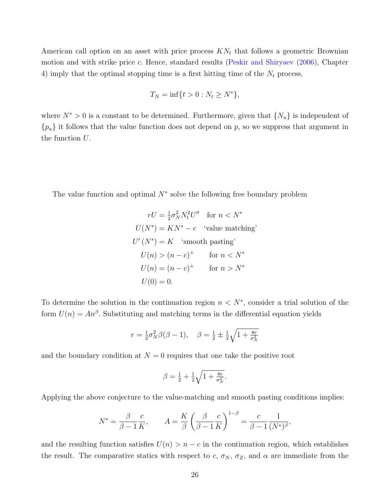American call option on an asset with price process  $KN_t$  that follows a geometric Brownian motion and with strike price c. Hence, standard results [\(Peskir and Shiryaev](#page-17-3) [\(2006\)](#page-17-3), Chapter 4) imply that the optimal stopping time is a first hitting time of the  $N_t$  process,

$$
T_N = \inf\{t > 0 : N_t \ge N^*\},\
$$

where  $N^* > 0$  is a constant to be determined. Furthermore, given that  $\{N_u\}$  is independent of  ${p_u}$  it follows that the value function does not depend on p, so we suppress that argument in the function U.

The value function and optimal  $N^*$  solve the following free boundary problem

$$
rU = \frac{1}{2}\sigma_N^2 N_t^2 U'' \quad \text{for } n < N^*
$$
\n
$$
U(N^*) = KN^* - c \quad \text{'value matching'}
$$
\n
$$
U'(N^*) = K \quad \text{'smooth pasting'}
$$
\n
$$
U(n) > (n-c)^+ \quad \text{for } n < N^*
$$
\n
$$
U(n) = (n-c)^+ \quad \text{for } n > N^*
$$
\n
$$
U(0) = 0.
$$

To determine the solution in the continuation region  $n < N^*$ , consider a trial solution of the form  $U(n) = An^{\beta}$ . Substituting and matching terms in the differential equation yields

$$
r = \frac{1}{2}\sigma_N^2 \beta(\beta - 1), \quad \beta = \frac{1}{2} \pm \frac{1}{2}\sqrt{1 + \frac{8r}{\sigma_N^2}}
$$

and the boundary condition at  $N = 0$  requires that one take the positive root

$$
\beta = \frac{1}{2} + \frac{1}{2}\sqrt{1 + \frac{8r}{\sigma_N^2}}.
$$

Applying the above conjecture to the value-matching and smooth pasting conditions implies:

$$
N^* = \frac{\beta}{\beta - 1} \frac{c}{K}, \qquad A = \frac{K}{\beta} \left( \frac{\beta}{\beta - 1} \frac{c}{K} \right)^{1 - \beta} = \frac{c}{\beta - 1} \frac{1}{(N^*)^{\beta}},
$$

and the resulting function satisfies  $U(n) > n - c$  in the continuation region, which establishes the result. The comparative statics with respect to c,  $\sigma_N$ ,  $\sigma_Z$ , and  $\alpha$  are immediate from the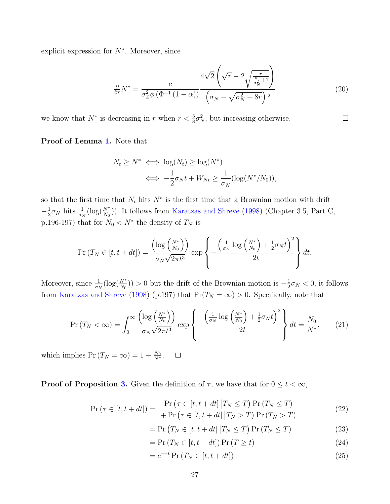explicit expression for  $N^*$ . Moreover, since

$$
\frac{\partial}{\partial r}N^* = \frac{c}{\sigma_Z^2 \phi\left(\Phi^{-1}\left(1-\alpha\right)\right)} \frac{4\sqrt{2}\left(\sqrt{r}-2\sqrt{\frac{r}{\sigma_N^2+1}}\right)}{\left(\sigma_N - \sqrt{\sigma_N^2 + 8r}\right)^2}
$$
(20)

 $\Box$ 

we know that  $N^*$  is decreasing in r when  $r < \frac{3}{8}\sigma_N^2$ , but increasing otherwise.

Proof of Lemma [1.](#page-10-0) Note that

$$
N_t \ge N^* \iff \log(N_t) \ge \log(N^*)
$$
  

$$
\iff -\frac{1}{2}\sigma_N t + W_{Nt} \ge \frac{1}{\sigma_N}(\log(N^*/N_0)),
$$

so that the first time that  $N_t$  hits  $N^*$  is the first time that a Brownian motion with drift  $-\frac{1}{2}$  $\frac{1}{2}\sigma_N$  hits  $\frac{1}{\sigma_N}(\log(\frac{N^*}{N_0}))$ . It follows from [Karatzas and Shreve](#page-16-14) [\(1998\)](#page-16-14) (Chapter 3.5, Part C, p.196-197) that for  $N_0 < N^*$  the density of  $T_N$  is

$$
\Pr\left(T_N \in [t, t+dt]\right) = \frac{\left(\log\left(\frac{N^*}{N_0}\right)\right)}{\sigma_N \sqrt{2\pi t^3}} \exp\left\{-\frac{\left(\frac{1}{\sigma_N} \log\left(\frac{N^*}{N_0}\right) + \frac{1}{2}\sigma_N t\right)^2}{2t}\right\} dt.
$$

Moreover, since  $\frac{1}{\sigma_N}(\log(\frac{N^*}{N_0})) > 0$  but the drift of the Brownian motion is  $-\frac{1}{2}$  $\frac{1}{2}\sigma_N < 0$ , it follows from [Karatzas and Shreve](#page-16-14) [\(1998\)](#page-16-14) (p.197) that  $Pr(T_N = \infty) > 0$ . Specifically, note that

$$
\Pr\left(T_N < \infty\right) = \int_0^\infty \frac{\left(\log\left(\frac{N^*}{N_0}\right)\right)}{\sigma_N \sqrt{2\pi t^3}} \exp\left\{-\frac{\left(\frac{1}{\sigma_N} \log\left(\frac{N^*}{N_0}\right) + \frac{1}{2}\sigma_N t\right)^2}{2t}\right\} dt = \frac{N_0}{N^*},\tag{21}
$$

which implies  $Pr(T_N = \infty) = 1 - \frac{N_0}{N^*}.$  $\Box$ 

**Proof of Proposition [3.](#page-10-1)** Given the definition of  $\tau$ , we have that for  $0 \le t < \infty$ ,

$$
\Pr\left(\tau \in [t, t+dt]\right) = \frac{\Pr\left(\tau \in [t, t+dt] \, \big| T_N \le T\right) \Pr\left(T_N \le T\right)}{+\Pr\left(\tau \in [t, t+dt] \, \big| T_N > T\right) \Pr\left(T_N > T\right)}\tag{22}
$$

$$
= \Pr(T_N \in [t, t + dt] | T_N \le T) \Pr(T_N \le T)
$$
\n(23)

$$
= \Pr(T_N \in [t, t + dt]) \Pr(T \ge t)
$$
\n(24)

$$
= e^{-rt} \Pr(T_N \in [t, t+dt]). \tag{25}
$$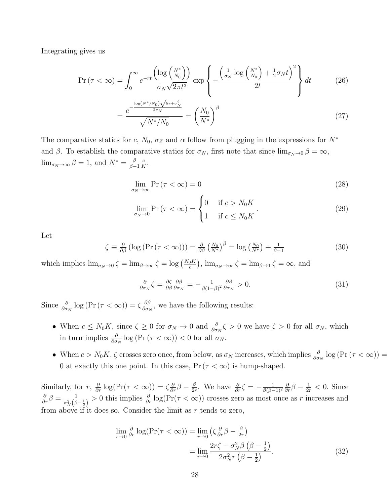Integrating gives us

$$
\Pr\left(\tau < \infty\right) = \int_0^\infty e^{-rt} \frac{\left(\log\left(\frac{N^*}{N_0}\right)\right)}{\sigma_N \sqrt{2\pi t^3}} \exp\left\{-\frac{\left(\frac{1}{\sigma_N} \log\left(\frac{N^*}{N_0}\right) + \frac{1}{2}\sigma_N t\right)^2}{2t}\right\} dt\tag{26}
$$

$$
= \frac{e^{-\frac{\log(N^* / N_0)\sqrt{8r + \sigma_N^2}}{2\sigma_N}}}{\sqrt{N^* / N_0}} = \left(\frac{N_0}{N^*}\right)^{\beta} \tag{27}
$$

The comparative statics for c,  $N_0$ ,  $\sigma_Z$  and  $\alpha$  follow from plugging in the expressions for  $N^*$ and  $\beta$ . To establish the comparative statics for  $\sigma_N$ , first note that since  $\lim_{\sigma_N\to 0} \beta = \infty$ ,  $\lim_{\sigma_N \to \infty} \beta = 1$ , and  $N^* = \frac{\beta}{\beta - 1}$  $\beta-1$ c  $\frac{c}{K}$ 

$$
\lim_{\sigma_N \to \infty} \Pr(\tau < \infty) = 0 \tag{28}
$$

$$
\lim_{\sigma_N \to 0} \Pr(\tau < \infty) = \begin{cases} 0 & \text{if } c > N_0 K \\ 1 & \text{if } c \le N_0 K \end{cases} \tag{29}
$$

Let

$$
\zeta \equiv \frac{\partial}{\partial \beta} \left( \log \left( \Pr \left( \tau < \infty \right) \right) \right) = \frac{\partial}{\partial \beta} \left( \frac{N_0}{N^*} \right)^{\beta} = \log \left( \frac{N_0}{N^*} \right) + \frac{1}{\beta - 1} \tag{30}
$$

which implies  $\lim_{\sigma_N \to 0} \zeta = \lim_{\beta \to \infty} \zeta = \log \left( \frac{N_0 K}{c} \right)$ ,  $\lim_{\sigma_N \to \infty} \zeta = \lim_{\beta \to 1} \zeta = \infty$ , and

$$
\frac{\partial}{\partial \sigma_N} \zeta = \frac{\partial \zeta}{\partial \beta} \frac{\partial \beta}{\partial \sigma_N} = -\frac{1}{\beta (1-\beta)^2} \frac{\partial \beta}{\partial \sigma_N} > 0. \tag{31}
$$

Since  $\frac{\partial}{\partial \sigma_N} \log (\Pr(\tau < \infty)) = \zeta \frac{\partial \beta}{\partial \sigma_N}$  $\frac{\partial \beta}{\partial \sigma_N}$ , we have the following results:

- When  $c \leq N_0 K$ , since  $\zeta \geq 0$  for  $\sigma_N \to 0$  and  $\frac{\partial}{\partial \sigma_N} \zeta > 0$  we have  $\zeta > 0$  for all  $\sigma_N$ , which in turn implies  $\frac{\partial}{\partial \sigma_N} \log (\Pr(\tau < \infty)) < 0$  for all  $\sigma_N$ .
- When  $c > N_0 K$ ,  $\zeta$  crosses zero once, from below, as  $\sigma_N$  increases, which implies  $\frac{\partial}{\partial \sigma_N} \log \left( \Pr(\tau < \infty) \right) =$ 0 at exactly this one point. In this case,  $Pr(\tau < \infty)$  is hump-shaped.

Similarly, for  $r$ ,  $\frac{\partial}{\partial r} \log(\Pr(\tau < \infty)) = \zeta \frac{\partial}{\partial r} \beta - \frac{\beta}{2r}$  $\frac{\beta}{2r}$ . We have  $\frac{\partial}{\partial r}\zeta = -\frac{1}{\beta(\beta-r)}$  $\overline{\beta(\beta-1)^2}$  $\frac{\partial}{\partial r}\beta - \frac{1}{2r} < 0$ . Since  $\frac{\partial}{\partial r} \beta = \frac{1}{\sigma_{\mathcal{M}}^2(\beta)}$  $\frac{1}{\sigma_N^2(\beta-\frac{1}{2})}>0$  this implies  $\frac{\partial}{\partial r}\log(\Pr(\tau<\infty))$  crosses zero as most once as r increases and from above if it does so. Consider the limit as  $r$  tends to zero,

<span id="page-27-0"></span>
$$
\lim_{r \to 0} \frac{\partial}{\partial r} \log(\Pr(\tau < \infty)) = \lim_{r \to 0} \left( \zeta \frac{\partial}{\partial r} \beta - \frac{\beta}{2r} \right)
$$
\n
$$
= \lim_{r \to 0} \frac{2r\zeta - \sigma_N^2 \beta \left( \beta - \frac{1}{2} \right)}{2\sigma_N^2 r \left( \beta - \frac{1}{2} \right)}.
$$
\n(32)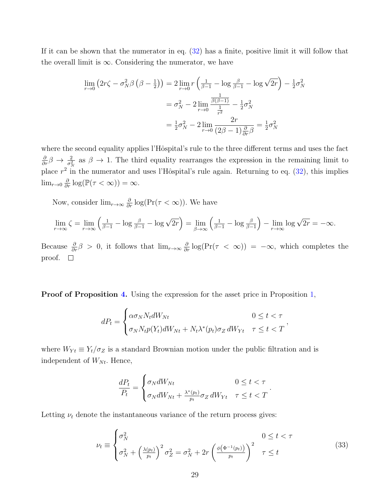If it can be shown that the numerator in eq. [\(32\)](#page-27-0) has a finite, positive limit it will follow that the overall limit is  $\infty$ . Considering the numerator, we have

$$
\lim_{r \to 0} (2r\zeta - \sigma_N^2 \beta \left(\beta - \frac{1}{2}\right)) = 2 \lim_{r \to 0} r \left(\frac{1}{\beta - 1} - \log \frac{\beta}{\beta - 1} - \log \sqrt{2r}\right) - \frac{1}{2} \sigma_N^2
$$

$$
= \sigma_N^2 - 2 \lim_{r \to 0} \frac{\frac{1}{\beta(\beta - 1)}}{\frac{1}{r^2}} - \frac{1}{2} \sigma_N^2
$$

$$
= \frac{1}{2} \sigma_N^2 - 2 \lim_{r \to 0} \frac{2r}{(2\beta - 1)\frac{\partial}{\partial r}\beta} = \frac{1}{2} \sigma_N^2
$$

where the second equality applies l'Hôspital's rule to the three different terms and uses the fact  $\frac{\partial}{\partial r}\beta \to \frac{2}{\sigma_N^2}$  as  $\beta \to 1$ . The third equality rearranges the expression in the remaining limit to place  $r^2$  in the numerator and uses l'Hôspital's rule again. Returning to eq. [\(32\)](#page-27-0), this implies  $\lim_{r\to 0} \frac{\partial}{\partial r} \log(\mathbb{P}(\tau < \infty)) = \infty.$ 

Now, consider  $\lim_{r\to\infty}\frac{\partial}{\partial r}\log(\Pr(\tau<\infty))$ . We have

$$
\lim_{r \to \infty} \zeta = \lim_{r \to \infty} \left( \frac{1}{\beta - 1} - \log \frac{\beta}{\beta - 1} - \log \sqrt{2r} \right) = \lim_{\beta \to \infty} \left( \frac{1}{\beta - 1} - \log \frac{\beta}{\beta - 1} \right) - \lim_{r \to \infty} \log \sqrt{2r} = -\infty.
$$

Because  $\frac{\partial}{\partial r}\beta > 0$ , it follows that  $\lim_{r\to\infty}\frac{\partial}{\partial r}\log(\Pr(\tau < \infty)) = -\infty$ , which completes the proof.  $\square$ 

Proof of Proposition [4.](#page-11-1) Using the expression for the asset price in Proposition [1,](#page-6-0)

$$
dP_t = \begin{cases} \alpha \sigma_N N_t dW_{Nt} & 0 \le t < \tau \\ \sigma_N N_t p(Y_t) dW_{Nt} + N_t \lambda^*(p_t) \sigma_Z dW_{Yt} & \tau \le t < T \end{cases}
$$

where  $W_{Yt} \equiv Y_t/\sigma_Z$  is a standard Brownian motion under the public filtration and is independent of  $W_{N_t}$ . Hence,

$$
\frac{dP_t}{P_t} = \begin{cases} \sigma_N dW_{Nt} & 0 \leq t < \tau \\ \sigma_N dW_{Nt} + \frac{\lambda^*(p_t)}{p_t} \sigma_Z dW_{Yt} & \tau \leq t < T \end{cases}.
$$

Letting  $\nu_t$  denote the instantaneous variance of the return process gives:

$$
\nu_t \equiv \begin{cases} \sigma_N^2 & 0 \le t < \tau \\ \sigma_N^2 + \left(\frac{\lambda(p_t)}{p_t}\right)^2 \sigma_Z^2 = \sigma_N^2 + 2r \left(\frac{\phi(\Phi^{-1}(p_t))}{p_t}\right)^2 & \tau \le t \end{cases} \tag{33}
$$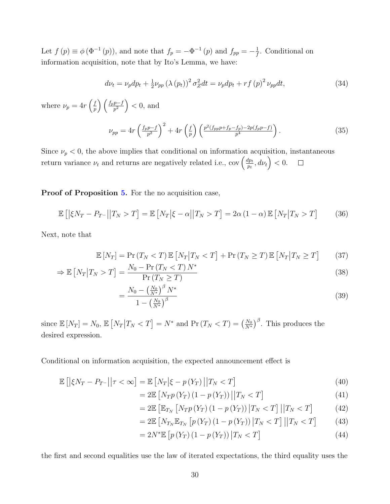Let  $f(p) \equiv \phi(\Phi^{-1}(p))$ , and note that  $f_p = -\Phi^{-1}(p)$  and  $f_{pp} = -\frac{1}{f}$  $\frac{1}{f}$ . Conditional on information acquisition, note that by Ito's Lemma, we have:

$$
d\nu_t = \nu_p dp_t + \frac{1}{2}\nu_{pp} \left(\lambda \left(p_t\right)\right)^2 \sigma_Z^2 dt = \nu_p dp_t + rf\left(p\right)^2 \nu_{pp} dt,\tag{34}
$$

where  $\nu_p = 4r \left(\frac{f}{n}\right)$  $\left(\frac{f_p p - f}{p^2}\right) < 0$ , and

$$
\nu_{pp} = 4r \left(\frac{f_p p - f}{p^2}\right)^2 + 4r \left(\frac{f}{p}\right) \left(\frac{p^2 (f_{pp} p + f_p - f_p) - 2p (f_p p - f)}{p^4}\right). \tag{35}
$$

Since  $\nu_p < 0$ , the above implies that conditional on information acquisition, instantaneous return variance  $\nu_t$  and returns are negatively related i.e., cov  $\left(\frac{dp_t}{n_t}\right)$  $\left(\frac{dp_t}{p_t}, d\nu_t\right) < 0.$  $\Box$ 

Proof of Proposition [5.](#page-12-1) For the no acquisition case,

=

$$
\mathbb{E}\left[\left|\xi N_T - P_{T^-}\right|\middle|T_N > T\right] = \mathbb{E}\left[N_T\middle|\xi-\alpha\middle|\middle|T_N > T\right] = 2\alpha\left(1-\alpha\right)\mathbb{E}\left[N_T\middle|T_N > T\right] \tag{36}
$$

Next, note that

$$
\mathbb{E}\left[N_T\right] = \Pr\left(T_N < T\right) \mathbb{E}\left[N_T \middle| T_N < T\right] + \Pr\left(T_N \ge T\right) \mathbb{E}\left[N_T \middle| T_N \ge T\right] \tag{37}
$$

$$
\Rightarrow \mathbb{E}\left[N_T\middle|T_N > T\right] = \frac{N_0 - \Pr\left(T_N < T\right)N^*}{\Pr\left(T_N \geq T\right)}\tag{38}
$$

$$
\frac{N_0 - \left(\frac{N_0}{N^*}\right)^{\beta} N^*}{1 - \left(\frac{N_0}{N^*}\right)^{\beta}}
$$
\n
$$
(39)
$$

since  $\mathbb{E}[N_T] = N_0$ ,  $\mathbb{E}[N_T | T_N < T] = N^*$  and  $\Pr(T_N < T) = \left(\frac{N_0}{N^*}\right)^{\beta}$ . This produces the desired expression.

Conditional on information acquisition, the expected announcement effect is

$$
\mathbb{E}\left[\left|\xi N_T - P_{T^-}\right|\middle|\tau < \infty\right] = \mathbb{E}\left[N_T\middle|\xi - p\left(Y_T\right)\right|\middle|\left(T_N < T\right]\right) \tag{40}
$$

$$
=2\mathbb{E}\left[N_{T}p\left(Y_{T}\right)\left(1-p\left(Y_{T}\right)\right)\left|\left|T_{N}
$$

$$
=2\mathbb{E}\left[\mathbb{E}_{T_N}\left[N_{T}p\left(Y_{T}\right)\left(1-p\left(Y_{T}\right)\right)\big|T_N(42)
$$

$$
=2\mathbb{E}\left[N_{T_{N}}\mathbb{E}_{T_{N}}\left[p\left(Y_{T}\right)\left(1-p\left(Y_{T}\right)\right)\big|T_{N}(43)
$$

$$
=2N^*\mathbb{E}\left[p\left(Y_T\right)\left(1-p\left(Y_T\right)\right)\big|T_N\n(44)
$$

the first and second equalities use the law of iterated expectations, the third equality uses the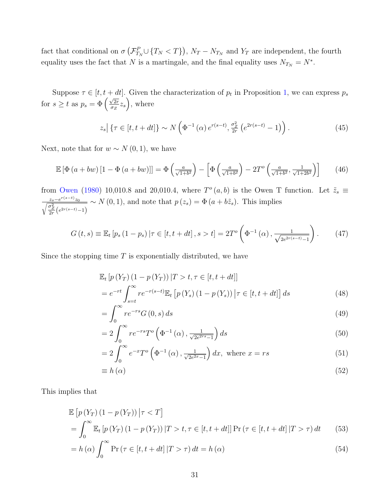fact that conditional on  $\sigma\left(\mathcal{F}_{T_N}^P\cup\{T_N and  $Y_T$  are independent, the fourth$ equality uses the fact that N is a martingale, and the final equality uses  $N_{T_N} = N^*$ .

Suppose  $\tau \in [t, t + dt]$ . Given the characterization of  $p_t$  in Proposition [1,](#page-6-0) we can express  $p_s$ for  $s \geq t$  as  $p_s = \Phi\left(\frac{\sqrt{2r}}{\sigma z}\right)$  $\sqrt{2r} z_s$ , where

$$
z_s \vert \left\{ \tau \in [t, t+dt] \right\} \sim N \left( \Phi^{-1} \left( \alpha \right) e^{r(s-t)}, \frac{\sigma_Z^2}{2r} \left( e^{2r(s-t)} - 1 \right) \right). \tag{45}
$$

Next, note that for  $w \sim N(0, 1)$ , we have

$$
\mathbb{E}\left[\Phi\left(a+bw\right)\left[1-\Phi\left(a+bw\right)\right]\right] = \Phi\left(\frac{a}{\sqrt{1+b^2}}\right) - \left[\Phi\left(\frac{a}{\sqrt{1+b^2}}\right) - 2T^o\left(\frac{a}{\sqrt{1+b^2}}, \frac{1}{\sqrt{1+2b^2}}\right)\right] \tag{46}
$$

from [Owen](#page-17-4) [\(1980\)](#page-17-4) 10,010.8 and 20,010.4, where  $T^{\circ}(a, b)$  is the Owen T function. Let  $\tilde{z}_s \equiv$  $\frac{z_s-e^{r(s-t)}z_0}{\sqrt{\frac{\sigma_Z^2}{2r}\left(e^{2r(s-t)}-1\right)}}$  $\sim N(0, 1)$ , and note that  $p(z_s) = \Phi(a + b\tilde{z}_s)$ . This implies

$$
G(t,s) \equiv \mathbb{E}_t [p_s (1-p_s) | \tau \in [t, t+dt], s > t] = 2T^o \left( \Phi^{-1} (\alpha), \frac{1}{\sqrt{2e^{2r(s-t)} - 1}} \right).
$$
 (47)

Since the stopping time  $T$  is exponentially distributed, we have

$$
\mathbb{E}_{t}[p(Y_{T})(1-p(Y_{T}))|T>t,\tau\in[t,t+dt]]
$$
\n
$$
=e^{-rt}\int_{s=t}^{\infty}re^{-r(s-t)}\mathbb{E}_{t}[p(Y_{s})(1-p(Y_{s}))|\tau\in[t,t+dt]]ds
$$
\n(48)

$$
=\int_{0}^{\infty}re^{-rs}G\left(0,s\right)ds\tag{49}
$$

$$
=2\int_{0}^{\infty}re^{-rs}T^o\left(\Phi^{-1}\left(\alpha\right),\frac{1}{\sqrt{2e^{2rs}-1}}\right)ds\tag{50}
$$

$$
=2\int_0^\infty e^{-x}T^o\left(\Phi^{-1}\left(\alpha\right),\frac{1}{\sqrt{2e^{2x}-1}}\right)dx,\text{ where }x=rs
$$
\n(51)

$$
\equiv h\left(\alpha\right) \tag{52}
$$

This implies that

$$
\mathbb{E}\left[p\left(Y_T\right)\left(1-p\left(Y_T\right)\right)\big|\tau < T\right]
$$
\n
$$
= \int_0^\infty \mathbb{E}_t\left[p\left(Y_T\right)\left(1-p\left(Y_T\right)\right)\big|T > t, \tau \in [t, t+dt]\right] \Pr\left(\tau \in [t, t+dt] \,|\, T > \tau\right) dt \tag{53}
$$
\n
$$
= \int_0^\infty \Pr\left(\tau \in [t, t+dt] \,|\, T > \tau\right) dt \quad b\left(\tau\right) \tag{54}
$$

$$
= h(\alpha) \int_0^\infty \Pr\left(\tau \in [t, t+dt] | T > \tau\right) dt = h(\alpha)
$$
\n(54)